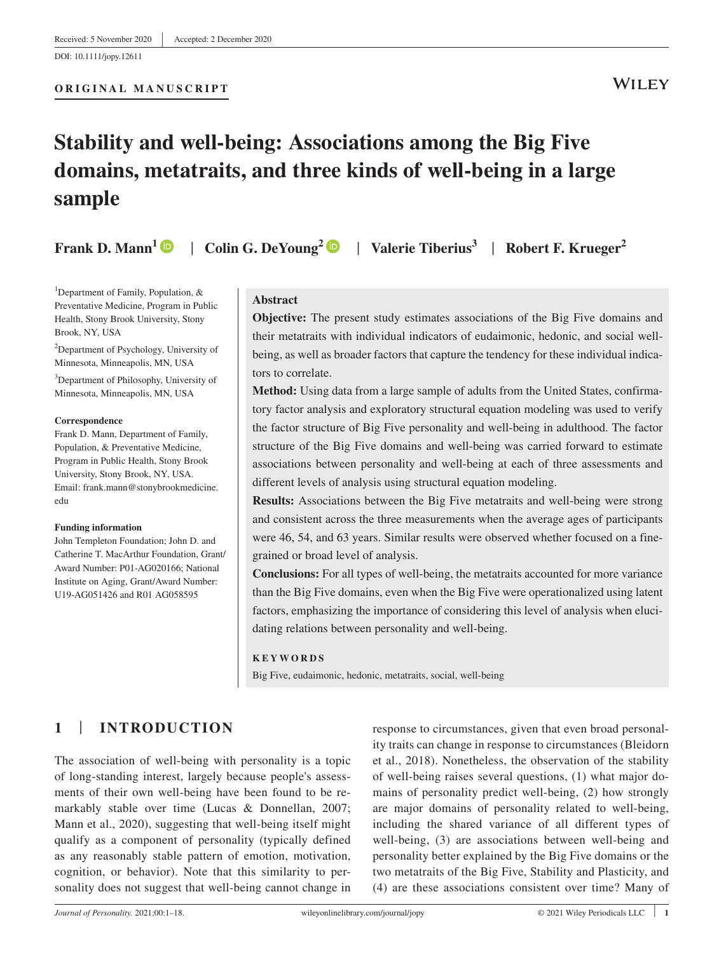DOI: 10.1111/jopy.12611

**WILEY** 

# **Stability and well-being: Associations among the Big Five domains, metatraits, and three kinds of well-being in a large sample**

**Frank D. Mann<sup>[1](https://orcid.org/0000-0002-5450-0620)</sup>**  $\bullet$  **| Colin G. DeYoung<sup>2</sup>**  $\bullet$  **| Valerie Tiberius<sup>3</sup> | Robert F. Krueger<sup>2</sup>** 

<sup>1</sup>Department of Family, Population,  $\&$ Preventative Medicine, Program in Public Health, Stony Brook University, Stony Brook, NY, USA

2 Department of Psychology, University of Minnesota, Minneapolis, MN, USA

3 Department of Philosophy, University of Minnesota, Minneapolis, MN, USA

#### **Correspondence**

Frank D. Mann, Department of Family, Population, & Preventative Medicine, Program in Public Health, Stony Brook University, Stony Brook, NY, USA. Email: [frank.mann@stonybrookmedicine.](mailto:frank.mann@stonybrookmedicine.edu) [edu](mailto:frank.mann@stonybrookmedicine.edu)

#### **Funding information**

John Templeton Foundation; John D. and Catherine T. MacArthur Foundation, Grant/ Award Number: P01-AG020166; National Institute on Aging, Grant/Award Number: U19-AG051426 and R01 AG058595

# **Abstract**

**Objective:** The present study estimates associations of the Big Five domains and their metatraits with individual indicators of eudaimonic, hedonic, and social wellbeing, as well as broader factors that capture the tendency for these individual indicators to correlate.

**Method:** Using data from a large sample of adults from the United States, confirmatory factor analysis and exploratory structural equation modeling was used to verify the factor structure of Big Five personality and well-being in adulthood. The factor structure of the Big Five domains and well-being was carried forward to estimate associations between personality and well-being at each of three assessments and different levels of analysis using structural equation modeling.

**Results:** Associations between the Big Five metatraits and well-being were strong and consistent across the three measurements when the average ages of participants were 46, 54, and 63 years. Similar results were observed whether focused on a finegrained or broad level of analysis.

**Conclusions:** For all types of well-being, the metatraits accounted for more variance than the Big Five domains, even when the Big Five were operationalized using latent factors, emphasizing the importance of considering this level of analysis when elucidating relations between personality and well-being.

#### **KEYWORDS**

Big Five, eudaimonic, hedonic, metatraits, social, well-being

# **1** | **INTRODUCTION**

The association of well-being with personality is a topic of long-standing interest, largely because people's assessments of their own well-being have been found to be remarkably stable over time (Lucas & Donnellan, 2007; Mann et al., 2020), suggesting that well-being itself might qualify as a component of personality (typically defined as any reasonably stable pattern of emotion, motivation, cognition, or behavior). Note that this similarity to personality does not suggest that well-being cannot change in

response to circumstances, given that even broad personality traits can change in response to circumstances (Bleidorn et al., 2018). Nonetheless, the observation of the stability of well-being raises several questions, (1) what major domains of personality predict well-being, (2) how strongly are major domains of personality related to well-being, including the shared variance of all different types of well-being, (3) are associations between well-being and personality better explained by the Big Five domains or the two metatraits of the Big Five, Stability and Plasticity, and (4) are these associations consistent over time? Many of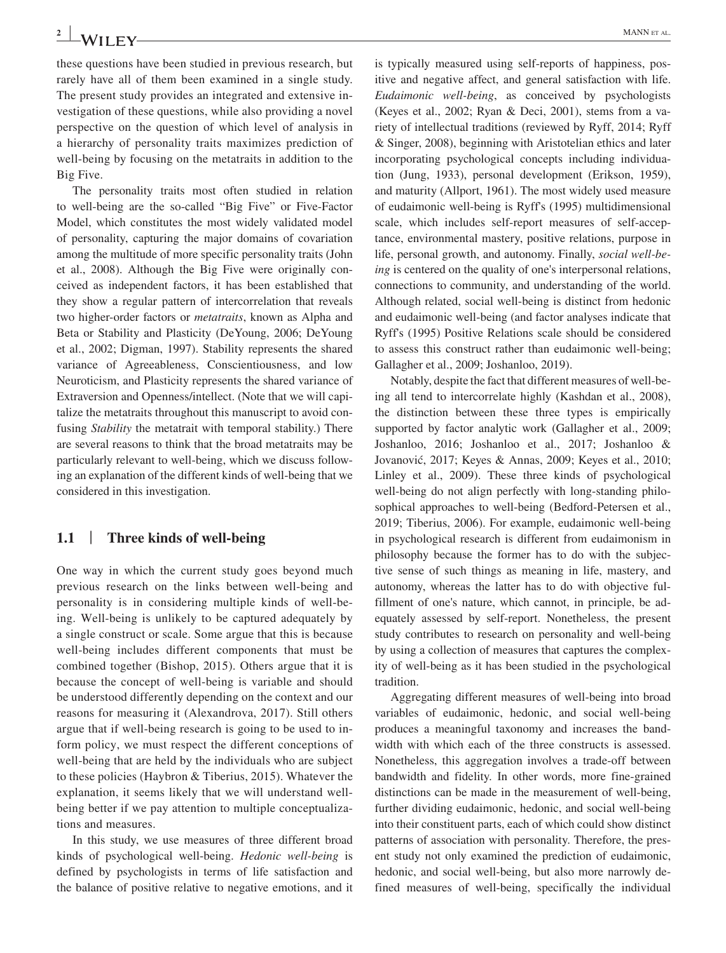these questions have been studied in previous research, but rarely have all of them been examined in a single study. The present study provides an integrated and extensive investigation of these questions, while also providing a novel perspective on the question of which level of analysis in a hierarchy of personality traits maximizes prediction of well-being by focusing on the metatraits in addition to the Big Five.

The personality traits most often studied in relation to well-being are the so-called "Big Five" or Five-Factor Model, which constitutes the most widely validated model of personality, capturing the major domains of covariation among the multitude of more specific personality traits (John et al., 2008). Although the Big Five were originally conceived as independent factors, it has been established that they show a regular pattern of intercorrelation that reveals two higher-order factors or *metatraits*, known as Alpha and Beta or Stability and Plasticity (DeYoung, 2006; DeYoung et al., 2002; Digman, 1997). Stability represents the shared variance of Agreeableness, Conscientiousness, and low Neuroticism, and Plasticity represents the shared variance of Extraversion and Openness/intellect. (Note that we will capitalize the metatraits throughout this manuscript to avoid confusing *Stability* the metatrait with temporal stability.) There are several reasons to think that the broad metatraits may be particularly relevant to well-being, which we discuss following an explanation of the different kinds of well-being that we considered in this investigation.

# **1.1** | **Three kinds of well-being**

One way in which the current study goes beyond much previous research on the links between well-being and personality is in considering multiple kinds of well-being. Well-being is unlikely to be captured adequately by a single construct or scale. Some argue that this is because well-being includes different components that must be combined together (Bishop, 2015). Others argue that it is because the concept of well-being is variable and should be understood differently depending on the context and our reasons for measuring it (Alexandrova, 2017). Still others argue that if well-being research is going to be used to inform policy, we must respect the different conceptions of well-being that are held by the individuals who are subject to these policies (Haybron & Tiberius, 2015). Whatever the explanation, it seems likely that we will understand wellbeing better if we pay attention to multiple conceptualizations and measures.

In this study, we use measures of three different broad kinds of psychological well-being. *Hedonic well-being* is defined by psychologists in terms of life satisfaction and the balance of positive relative to negative emotions, and it is typically measured using self-reports of happiness, positive and negative affect, and general satisfaction with life. *Eudaimonic well-being*, as conceived by psychologists (Keyes et al., 2002; Ryan & Deci, 2001), stems from a variety of intellectual traditions (reviewed by Ryff, 2014; Ryff & Singer, 2008), beginning with Aristotelian ethics and later incorporating psychological concepts including individuation (Jung, 1933), personal development (Erikson, 1959), and maturity (Allport, 1961). The most widely used measure of eudaimonic well-being is Ryff's (1995) multidimensional scale, which includes self-report measures of self-acceptance, environmental mastery, positive relations, purpose in life, personal growth, and autonomy. Finally, *social well-being* is centered on the quality of one's interpersonal relations, connections to community, and understanding of the world. Although related, social well-being is distinct from hedonic and eudaimonic well-being (and factor analyses indicate that Ryff's (1995) Positive Relations scale should be considered to assess this construct rather than eudaimonic well-being; Gallagher et al., 2009; Joshanloo, 2019).

Notably, despite the fact that different measures of well-being all tend to intercorrelate highly (Kashdan et al., 2008), the distinction between these three types is empirically supported by factor analytic work (Gallagher et al., 2009; Joshanloo, 2016; Joshanloo et al., 2017; Joshanloo & Jovanović, 2017; Keyes & Annas, 2009; Keyes et al., 2010; Linley et al., 2009). These three kinds of psychological well-being do not align perfectly with long-standing philosophical approaches to well-being (Bedford-Petersen et al., 2019; Tiberius, 2006). For example, eudaimonic well-being in psychological research is different from eudaimonism in philosophy because the former has to do with the subjective sense of such things as meaning in life, mastery, and autonomy, whereas the latter has to do with objective fulfillment of one's nature, which cannot, in principle, be adequately assessed by self-report. Nonetheless, the present study contributes to research on personality and well-being by using a collection of measures that captures the complexity of well-being as it has been studied in the psychological tradition.

Aggregating different measures of well-being into broad variables of eudaimonic, hedonic, and social well-being produces a meaningful taxonomy and increases the bandwidth with which each of the three constructs is assessed. Nonetheless, this aggregation involves a trade-off between bandwidth and fidelity. In other words, more fine-grained distinctions can be made in the measurement of well-being, further dividing eudaimonic, hedonic, and social well-being into their constituent parts, each of which could show distinct patterns of association with personality. Therefore, the present study not only examined the prediction of eudaimonic, hedonic, and social well-being, but also more narrowly defined measures of well-being, specifically the individual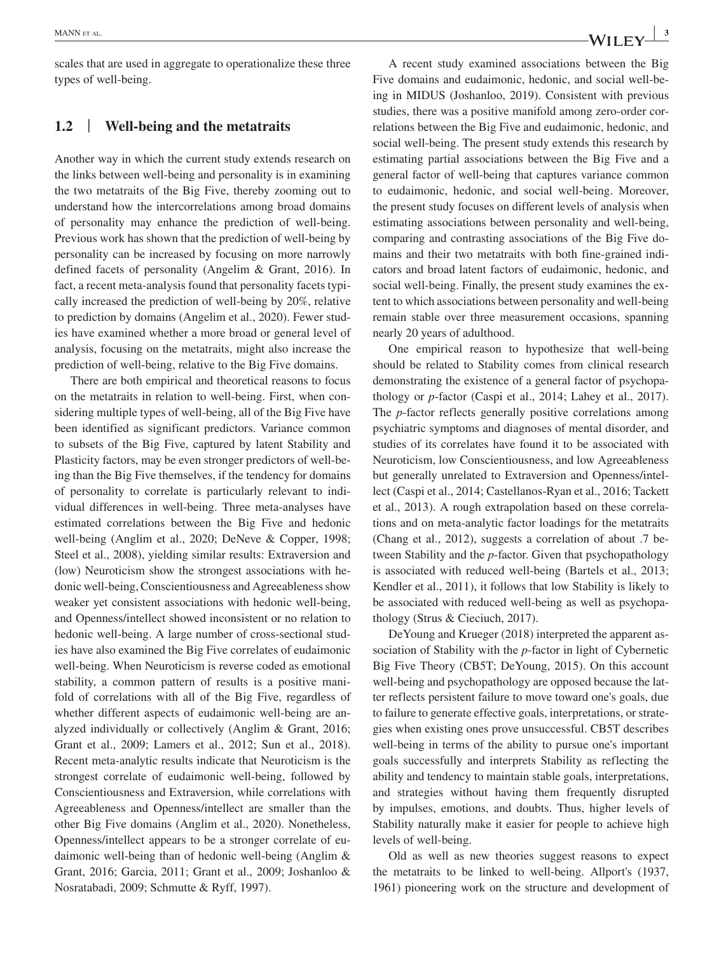scales that are used in aggregate to operationalize these three types of well-being.

#### **1.2** | **Well-being and the metatraits**

Another way in which the current study extends research on the links between well-being and personality is in examining the two metatraits of the Big Five, thereby zooming out to understand how the intercorrelations among broad domains of personality may enhance the prediction of well-being. Previous work has shown that the prediction of well-being by personality can be increased by focusing on more narrowly defined facets of personality (Angelim & Grant, 2016). In fact, a recent meta-analysis found that personality facets typically increased the prediction of well-being by 20%, relative to prediction by domains (Angelim et al., 2020). Fewer studies have examined whether a more broad or general level of analysis, focusing on the metatraits, might also increase the prediction of well-being, relative to the Big Five domains.

There are both empirical and theoretical reasons to focus on the metatraits in relation to well-being. First, when considering multiple types of well-being, all of the Big Five have been identified as significant predictors. Variance common to subsets of the Big Five, captured by latent Stability and Plasticity factors, may be even stronger predictors of well-being than the Big Five themselves, if the tendency for domains of personality to correlate is particularly relevant to individual differences in well-being. Three meta-analyses have estimated correlations between the Big Five and hedonic well-being (Anglim et al., 2020; DeNeve & Copper, 1998; Steel et al., 2008), yielding similar results: Extraversion and (low) Neuroticism show the strongest associations with hedonic well-being, Conscientiousness and Agreeableness show weaker yet consistent associations with hedonic well-being, and Openness/intellect showed inconsistent or no relation to hedonic well-being. A large number of cross-sectional studies have also examined the Big Five correlates of eudaimonic well-being. When Neuroticism is reverse coded as emotional stability, a common pattern of results is a positive manifold of correlations with all of the Big Five, regardless of whether different aspects of eudaimonic well-being are analyzed individually or collectively (Anglim & Grant, 2016; Grant et al., 2009; Lamers et al., 2012; Sun et al., 2018). Recent meta-analytic results indicate that Neuroticism is the strongest correlate of eudaimonic well-being, followed by Conscientiousness and Extraversion, while correlations with Agreeableness and Openness/intellect are smaller than the other Big Five domains (Anglim et al., 2020). Nonetheless, Openness/intellect appears to be a stronger correlate of eudaimonic well-being than of hedonic well-being (Anglim & Grant, 2016; Garcia, 2011; Grant et al., 2009; Joshanloo & Nosratabadi, 2009; Schmutte & Ryff, 1997).

A recent study examined associations between the Big Five domains and eudaimonic, hedonic, and social well-being in MIDUS (Joshanloo, 2019). Consistent with previous studies, there was a positive manifold among zero-order correlations between the Big Five and eudaimonic, hedonic, and social well-being. The present study extends this research by estimating partial associations between the Big Five and a general factor of well-being that captures variance common to eudaimonic, hedonic, and social well-being. Moreover, the present study focuses on different levels of analysis when estimating associations between personality and well-being, comparing and contrasting associations of the Big Five domains and their two metatraits with both fine-grained indicators and broad latent factors of eudaimonic, hedonic, and social well-being. Finally, the present study examines the extent to which associations between personality and well-being remain stable over three measurement occasions, spanning nearly 20 years of adulthood.

One empirical reason to hypothesize that well-being should be related to Stability comes from clinical research demonstrating the existence of a general factor of psychopathology or *p*-factor (Caspi et al., 2014; Lahey et al., 2017). The *p*-factor reflects generally positive correlations among psychiatric symptoms and diagnoses of mental disorder, and studies of its correlates have found it to be associated with Neuroticism, low Conscientiousness, and low Agreeableness but generally unrelated to Extraversion and Openness/intellect (Caspi et al., 2014; Castellanos-Ryan et al., 2016; Tackett et al., 2013). A rough extrapolation based on these correlations and on meta-analytic factor loadings for the metatraits (Chang et al., 2012), suggests a correlation of about .7 between Stability and the *p*-factor. Given that psychopathology is associated with reduced well-being (Bartels et al., 2013; Kendler et al., 2011), it follows that low Stability is likely to be associated with reduced well-being as well as psychopathology (Strus & Cieciuch, 2017).

DeYoung and Krueger (2018) interpreted the apparent association of Stability with the *p*-factor in light of Cybernetic Big Five Theory (CB5T; DeYoung, 2015). On this account well-being and psychopathology are opposed because the latter reflects persistent failure to move toward one's goals, due to failure to generate effective goals, interpretations, or strategies when existing ones prove unsuccessful. CB5T describes well-being in terms of the ability to pursue one's important goals successfully and interprets Stability as reflecting the ability and tendency to maintain stable goals, interpretations, and strategies without having them frequently disrupted by impulses, emotions, and doubts. Thus, higher levels of Stability naturally make it easier for people to achieve high levels of well-being.

Old as well as new theories suggest reasons to expect the metatraits to be linked to well-being. Allport's (1937, 1961) pioneering work on the structure and development of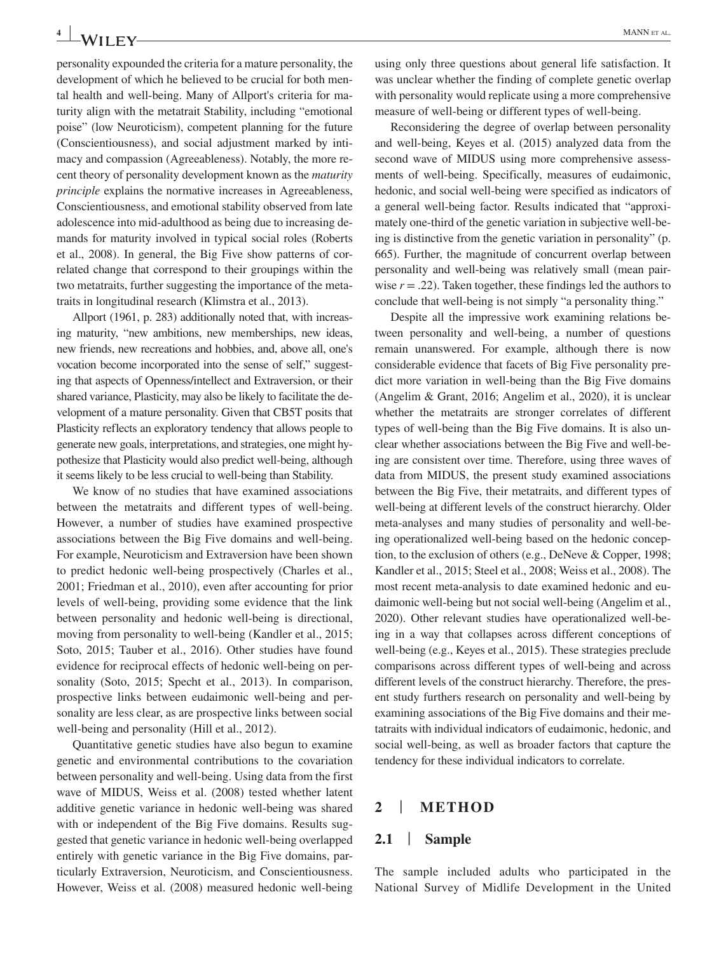personality expounded the criteria for a mature personality, the development of which he believed to be crucial for both mental health and well-being. Many of Allport's criteria for maturity align with the metatrait Stability, including "emotional poise" (low Neuroticism), competent planning for the future (Conscientiousness), and social adjustment marked by intimacy and compassion (Agreeableness). Notably, the more recent theory of personality development known as the *maturity principle* explains the normative increases in Agreeableness, Conscientiousness, and emotional stability observed from late adolescence into mid-adulthood as being due to increasing demands for maturity involved in typical social roles (Roberts et al., 2008). In general, the Big Five show patterns of correlated change that correspond to their groupings within the two metatraits, further suggesting the importance of the metatraits in longitudinal research (Klimstra et al., 2013).

Allport (1961, p. 283) additionally noted that, with increasing maturity, "new ambitions, new memberships, new ideas, new friends, new recreations and hobbies, and, above all, one's vocation become incorporated into the sense of self," suggesting that aspects of Openness/intellect and Extraversion, or their shared variance, Plasticity, may also be likely to facilitate the development of a mature personality. Given that CB5T posits that Plasticity reflects an exploratory tendency that allows people to generate new goals, interpretations, and strategies, one might hypothesize that Plasticity would also predict well-being, although it seems likely to be less crucial to well-being than Stability.

We know of no studies that have examined associations between the metatraits and different types of well-being. However, a number of studies have examined prospective associations between the Big Five domains and well-being. For example, Neuroticism and Extraversion have been shown to predict hedonic well-being prospectively (Charles et al., 2001; Friedman et al., 2010), even after accounting for prior levels of well-being, providing some evidence that the link between personality and hedonic well-being is directional, moving from personality to well-being (Kandler et al., 2015; Soto, 2015; Tauber et al., 2016). Other studies have found evidence for reciprocal effects of hedonic well-being on personality (Soto, 2015; Specht et al., 2013). In comparison, prospective links between eudaimonic well-being and personality are less clear, as are prospective links between social well-being and personality (Hill et al., 2012).

Quantitative genetic studies have also begun to examine genetic and environmental contributions to the covariation between personality and well-being. Using data from the first wave of MIDUS, Weiss et al.  $(2008)$  tested whether latent additive genetic variance in hedonic well-being was shared with or independent of the Big Five domains. Results suggested that genetic variance in hedonic well-being overlapped entirely with genetic variance in the Big Five domains, particularly Extraversion, Neuroticism, and Conscientiousness. However, Weiss et al. (2008) measured hedonic well-being using only three questions about general life satisfaction. It was unclear whether the finding of complete genetic overlap with personality would replicate using a more comprehensive measure of well-being or different types of well-being.

Reconsidering the degree of overlap between personality and well-being, Keyes et al. (2015) analyzed data from the second wave of MIDUS using more comprehensive assessments of well-being. Specifically, measures of eudaimonic, hedonic, and social well-being were specified as indicators of a general well-being factor. Results indicated that "approximately one-third of the genetic variation in subjective well-being is distinctive from the genetic variation in personality" (p. 665). Further, the magnitude of concurrent overlap between personality and well-being was relatively small (mean pairwise  $r = .22$ ). Taken together, these findings led the authors to conclude that well-being is not simply "a personality thing."

Despite all the impressive work examining relations between personality and well-being, a number of questions remain unanswered. For example, although there is now considerable evidence that facets of Big Five personality predict more variation in well-being than the Big Five domains (Angelim & Grant, 2016; Angelim et al., 2020), it is unclear whether the metatraits are stronger correlates of different types of well-being than the Big Five domains. It is also unclear whether associations between the Big Five and well-being are consistent over time. Therefore, using three waves of data from MIDUS, the present study examined associations between the Big Five, their metatraits, and different types of well-being at different levels of the construct hierarchy. Older meta-analyses and many studies of personality and well-being operationalized well-being based on the hedonic conception, to the exclusion of others (e.g., DeNeve & Copper, 1998; Kandler et al., 2015; Steel et al., 2008; Weiss et al., 2008). The most recent meta-analysis to date examined hedonic and eudaimonic well-being but not social well-being (Angelim et al., 2020). Other relevant studies have operationalized well-being in a way that collapses across different conceptions of well-being (e.g., Keyes et al., 2015). These strategies preclude comparisons across different types of well-being and across different levels of the construct hierarchy. Therefore, the present study furthers research on personality and well-being by examining associations of the Big Five domains and their metatraits with individual indicators of eudaimonic, hedonic, and social well-being, as well as broader factors that capture the tendency for these individual indicators to correlate.

## **2** | **METHOD**

#### **2.1** | **Sample**

The sample included adults who participated in the National Survey of Midlife Development in the United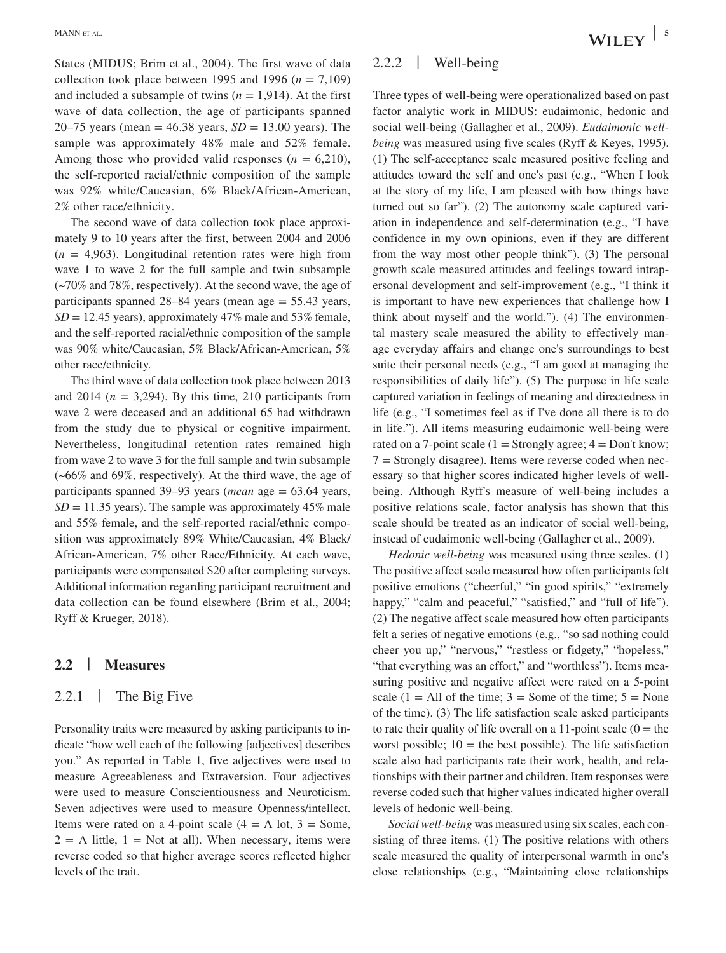States (MIDUS; Brim et al., 2004). The first wave of data collection took place between 1995 and 1996 ( $n = 7,109$ ) and included a subsample of twins  $(n = 1,914)$ . At the first wave of data collection, the age of participants spanned 20–75 years (mean =  $46.38$  years,  $SD = 13.00$  years). The sample was approximately 48% male and 52% female. Among those who provided valid responses  $(n = 6,210)$ , the self-reported racial/ethnic composition of the sample was 92% white/Caucasian, 6% Black/African-American, 2% other race/ethnicity.

The second wave of data collection took place approximately 9 to 10 years after the first, between 2004 and 2006  $(n = 4.963)$ . Longitudinal retention rates were high from wave 1 to wave 2 for the full sample and twin subsample (~70% and 78%, respectively). At the second wave, the age of participants spanned 28–84 years (mean age = 55.43 years,  $SD = 12.45$  years), approximately 47% male and 53% female, and the self-reported racial/ethnic composition of the sample was 90% white/Caucasian, 5% Black/African-American, 5% other race/ethnicity.

The third wave of data collection took place between 2013 and 2014 ( $n = 3,294$ ). By this time, 210 participants from wave 2 were deceased and an additional 65 had withdrawn from the study due to physical or cognitive impairment. Nevertheless, longitudinal retention rates remained high from wave 2 to wave 3 for the full sample and twin subsample (~66% and 69%, respectively). At the third wave, the age of participants spanned 39–93 years (*mean* age = 63.64 years,  $SD = 11.35$  years). The sample was approximately  $45\%$  male and 55% female, and the self-reported racial/ethnic composition was approximately 89% White/Caucasian, 4% Black/ African-American, 7% other Race/Ethnicity. At each wave, participants were compensated \$20 after completing surveys. Additional information regarding participant recruitment and data collection can be found elsewhere (Brim et al., 2004; Ryff & Krueger, 2018).

#### **2.2** | **Measures**

### 2.2.1 | The Big Five

Personality traits were measured by asking participants to indicate "how well each of the following [adjectives] describes you." As reported in Table 1, five adjectives were used to measure Agreeableness and Extraversion. Four adjectives were used to measure Conscientiousness and Neuroticism. Seven adjectives were used to measure Openness/intellect. Items were rated on a 4-point scale  $(4 = A)$  lot,  $3 =$  Some,  $2 = A$  little,  $1 = Not$  at all). When necessary, items were reverse coded so that higher average scores reflected higher levels of the trait.

#### 2.2.2 | Well-being

Three types of well-being were operationalized based on past factor analytic work in MIDUS: eudaimonic, hedonic and social well-being (Gallagher et al., 2009). *Eudaimonic wellbeing* was measured using five scales (Ryff & Keyes, 1995). (1) The self-acceptance scale measured positive feeling and attitudes toward the self and one's past (e.g., "When I look at the story of my life, I am pleased with how things have turned out so far"). (2) The autonomy scale captured variation in independence and self-determination (e.g., "I have confidence in my own opinions, even if they are different from the way most other people think"). (3) The personal growth scale measured attitudes and feelings toward intrapersonal development and self-improvement (e.g., "I think it is important to have new experiences that challenge how I think about myself and the world."). (4) The environmental mastery scale measured the ability to effectively manage everyday affairs and change one's surroundings to best suite their personal needs (e.g., "I am good at managing the responsibilities of daily life"). (5) The purpose in life scale captured variation in feelings of meaning and directedness in life (e.g., "I sometimes feel as if I've done all there is to do in life."). All items measuring eudaimonic well-being were rated on a 7-point scale  $(1 = \text{Strongly agree}; 4 = \text{Don't know};$  $7 =$  Strongly disagree). Items were reverse coded when necessary so that higher scores indicated higher levels of wellbeing. Although Ryff's measure of well-being includes a positive relations scale, factor analysis has shown that this scale should be treated as an indicator of social well-being, instead of eudaimonic well-being (Gallagher et al., 2009).

*Hedonic well-being* was measured using three scales. (1) The positive affect scale measured how often participants felt positive emotions ("cheerful," "in good spirits," "extremely happy," "calm and peaceful," "satisfied," and "full of life"). (2) The negative affect scale measured how often participants felt a series of negative emotions (e.g., "so sad nothing could cheer you up," "nervous," "restless or fidgety," "hopeless," "that everything was an effort," and "worthless"). Items measuring positive and negative affect were rated on a 5-point scale  $(1 = All of the time; 3 = Some of the time; 5 = None$ of the time). (3) The life satisfaction scale asked participants to rate their quality of life overall on a 11-point scale  $(0 =$  the worst possible;  $10 =$  the best possible). The life satisfaction scale also had participants rate their work, health, and relationships with their partner and children. Item responses were reverse coded such that higher values indicated higher overall levels of hedonic well-being.

*Social well-being* was measured using six scales, each consisting of three items. (1) The positive relations with others scale measured the quality of interpersonal warmth in one's close relationships (e.g., "Maintaining close relationships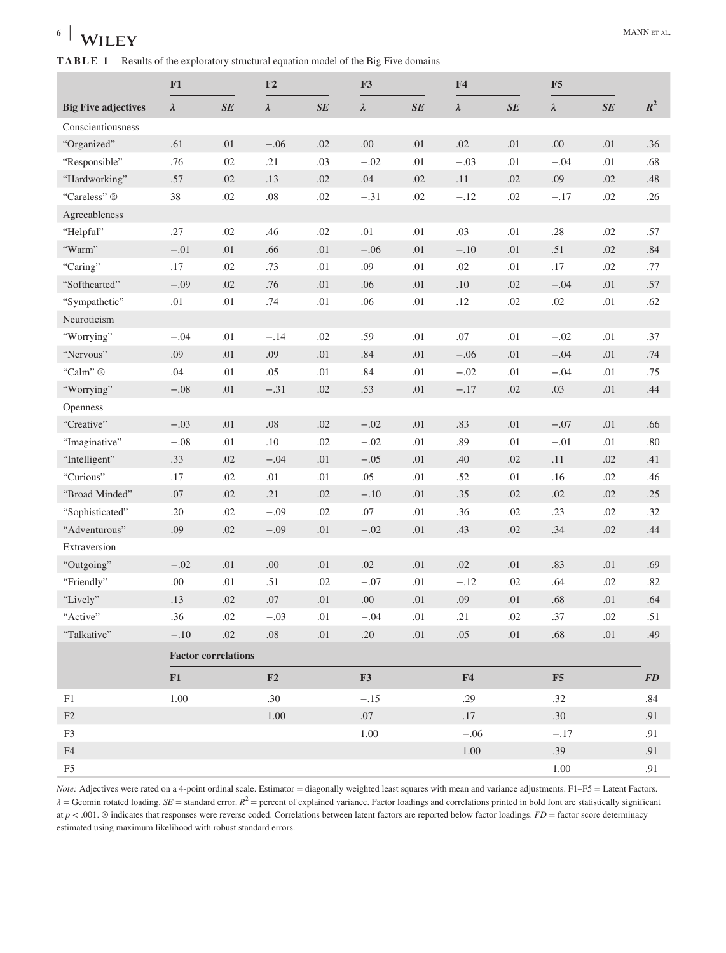| <b>TABLE 1</b> Results of the exploratory structural equation model of the Big Five domains |
|---------------------------------------------------------------------------------------------|
|---------------------------------------------------------------------------------------------|

| $\mathbf{p}$ |  |
|--------------|--|
|              |  |

|                                                                                                                                                                   | F1                         |                  | F2             |                  | F3        |                  | F <sub>4</sub> |                  | F5        |                  |         |
|-------------------------------------------------------------------------------------------------------------------------------------------------------------------|----------------------------|------------------|----------------|------------------|-----------|------------------|----------------|------------------|-----------|------------------|---------|
| <b>Big Five adjectives</b>                                                                                                                                        | $\lambda$                  | $\pmb{S}\pmb{E}$ | $\lambda$      | $\pmb{S}\pmb{E}$ | $\lambda$ | $\pmb{S}\pmb{E}$ | $\lambda$      | $\pmb{S}\pmb{E}$ | $\lambda$ | $\pmb{S}\pmb{E}$ | $R^2$   |
| Conscientiousness                                                                                                                                                 |                            |                  |                |                  |           |                  |                |                  |           |                  |         |
| "Organized"                                                                                                                                                       | .61                        | $.01\,$          | $-.06$         | $.02\,$          | .00.      | $.01\,$          | $.02\,$        | .01              | $.00\,$   | $.01\,$          | .36     |
| "Responsible"                                                                                                                                                     | .76                        | .02              | .21            | .03              | $-.02$    | $.01\,$          | $-.03$         | $.01\,$          | $-.04$    | $.01\,$          | .68     |
| "Hardworking"                                                                                                                                                     | .57                        | .02              | .13            | .02              | $.04$     | .02              | .11            | $.02\,$          | .09       | $.02\,$          | .48     |
| "Careless" ®                                                                                                                                                      | $38\,$                     | .02              | $.08\,$        | $.02\,$          | $-.31$    | .02              | $-.12$         | .02              | $-.17$    | $.02\,$          | .26     |
| Agreeableness                                                                                                                                                     |                            |                  |                |                  |           |                  |                |                  |           |                  |         |
| "Helpful"                                                                                                                                                         | .27                        | .02              | .46            | .02              | $.01\,$   | .01              | .03            | .01              | $.28\,$   | $.02\,$          | .57     |
| "Warm"                                                                                                                                                            | $-.01$                     | .01              | .66            | .01              | $-.06$    | $.01\,$          | $-.10$         | $.01\,$          | $.51\,$   | $.02\,$          | $.84\,$ |
| "Caring"                                                                                                                                                          | .17                        | .02              | .73            | .01              | .09       | .01              | $.02\,$        | $.01\,$          | .17       | $.02\,$          | .77     |
| "Softhearted"                                                                                                                                                     | $-.09$                     | .02              | .76            | .01              | .06       | $.01\,$          | $.10\,$        | .02              | $-.04$    | $.01\,$          | .57     |
| "Sympathetic"                                                                                                                                                     | .01                        | .01              | .74            | .01              | .06       | $.01\,$          | $.12$          | $.02\,$          | $.02\,$   | $.01\,$          | .62     |
| Neuroticism                                                                                                                                                       |                            |                  |                |                  |           |                  |                |                  |           |                  |         |
| "Worrying"                                                                                                                                                        | $-.04$                     | .01              | $-.14$         | .02              | .59       | $.01\,$          | .07            | .01              | $-.02$    | $.01\,$          | .37     |
| "Nervous"                                                                                                                                                         | .09                        | .01              | .09            | .01              | $.84$     | .01              | $-.06$         | $.01\,$          | $-.04$    | $.01\,$          | .74     |
| "Calm" ®                                                                                                                                                          | .04                        | .01              | .05            | .01              | .84       | .01              | $-.02$         | .01              | $-.04$    | .01              | .75     |
| "Worrying"                                                                                                                                                        | $-.08$                     | .01              | $-.31$         | .02              | .53       | .01              | $-.17$         | .02              | .03       | $.01\,$          | .44     |
| Openness                                                                                                                                                          |                            |                  |                |                  |           |                  |                |                  |           |                  |         |
| "Creative"                                                                                                                                                        | $-.03$                     | .01              | $.08\,$        | $.02\,$          | $-.02$    | $.01\,$          | $.83\,$        | $.01\,$          | $-.07$    | $.01\,$          | .66     |
| "Imaginative"                                                                                                                                                     | $-.08$                     | $.01\,$          | .10            | $.02\,$          | $-.02$    | .01              | .89            | $.01\,$          | $-.01$    | .01              | .80     |
| "Intelligent"                                                                                                                                                     | .33                        | $.02\,$          | $-.04$         | .01              | $-.05$    | .01              | $.40$          | .02              | $.11\,$   | .02              | .41     |
| "Curious"                                                                                                                                                         | .17                        | .02              | $.01\,$        | .01              | .05       | .01              | .52            | .01              | .16       | .02              | .46     |
| "Broad Minded"                                                                                                                                                    | $.07$                      | $.02\,$          | .21            | $.02\,$          | $-.10$    | $.01\,$          | .35            | $.02\,$          | $.02\,$   | .02              | .25     |
| "Sophisticated"                                                                                                                                                   | .20                        | .02              | $-.09$         | .02              | $.07$     | $.01\,$          | .36            | $.02\,$          | .23       | .02              | .32     |
| "Adventurous"                                                                                                                                                     | .09                        | $.02\,$          | $-.09$         | .01              | $-.02$    | $.01\,$          | .43            | $.02\,$          | .34       | $.02\,$          | .44     |
| Extraversion                                                                                                                                                      |                            |                  |                |                  |           |                  |                |                  |           |                  |         |
| "Outgoing"                                                                                                                                                        | $-.02$                     | .01              | .00.           | .01              | .02       | .01              | $.02$          | $.01\,$          | .83       | $.01\,$          | .69     |
| "Friendly"                                                                                                                                                        | .00.                       | .01              | .51            | .02              | $-.07$    | .01              | $-.12$         | .02              | .64       | .02              | .82     |
| "Lively"                                                                                                                                                          | .13                        | $.02\,$          | .07            | $.01\,$          | $.00\,$   | $.01\,$          | .09            | $.01\,$          | $.68$     | .01              | .64     |
| "Active"                                                                                                                                                          | .36                        | .02              | $-.03$         | .01              | $-.04$    | .01              | .21            | .02              | .37       | $.02\,$          | .51     |
| "Talkative"                                                                                                                                                       | $-.10$                     | .02              | .08            | .01              | .20       | .01              | .05            | .01              | .68       | .01              | .49     |
|                                                                                                                                                                   | <b>Factor correlations</b> |                  |                |                  |           |                  |                |                  |           |                  |         |
|                                                                                                                                                                   | F1                         |                  | F <sub>2</sub> |                  |           | F3               |                | F <sub>4</sub>   |           | F <sub>5</sub>   |         |
| F1                                                                                                                                                                | 1.00                       |                  | .30            |                  | $-.15$    |                  | .29            |                  | .32       |                  | .84     |
| F <sub>2</sub>                                                                                                                                                    |                            |                  | 1.00           |                  | .07       |                  | .17            |                  | .30       |                  | .91     |
| F3                                                                                                                                                                |                            |                  |                |                  | 1.00      |                  | $-.06$         |                  | $-.17$    |                  | .91     |
| F <sub>4</sub>                                                                                                                                                    |                            |                  |                |                  |           |                  | 1.00           |                  | .39       |                  | .91     |
| F <sub>5</sub>                                                                                                                                                    |                            |                  |                |                  |           |                  |                |                  | 1.00      |                  | .91     |
| Vate: Adjectives were rated on a 4-point ordinal scale. Estimator – diagonally weighted least squares with mean and variance adjustments. E1, E5 – Latent Eactors |                            |                  |                |                  |           |                  |                |                  |           |                  |         |

*Note:* Adjectives were rated on a 4-point ordinal scale. Estimator = diagonally weighted least squares with mean and variance adjustments. F1–F5 = I  $\lambda$  = Geomin rotated loading. *SE* = standard error.  $R^2$  = percent of explained variance. Factor loadings and correlations printed in bold font are statistically significant at *p* < .001. ® indicates that responses were reverse coded. Correlations between latent factors are reported below factor loadings. *FD* = factor score determinacy estimated using maximum likelihood with robust standard errors.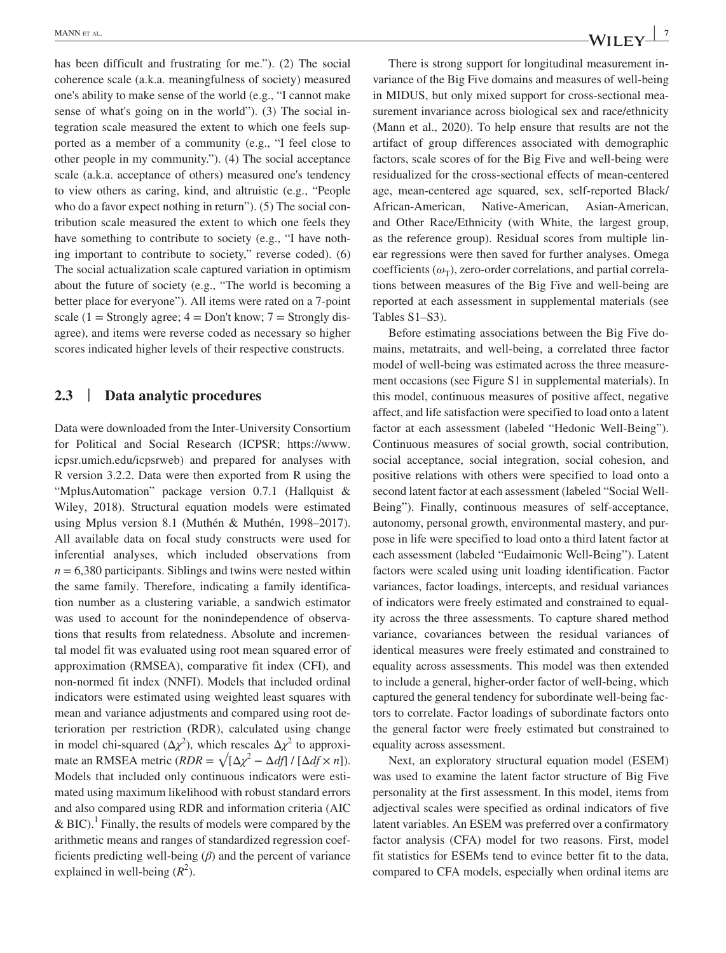has been difficult and frustrating for me."). (2) The social coherence scale (a.k.a. meaningfulness of society) measured one's ability to make sense of the world (e.g., "I cannot make sense of what's going on in the world"). (3) The social integration scale measured the extent to which one feels supported as a member of a community (e.g., "I feel close to other people in my community."). (4) The social acceptance scale (a.k.a. acceptance of others) measured one's tendency to view others as caring, kind, and altruistic (e.g., "People who do a favor expect nothing in return"). (5) The social contribution scale measured the extent to which one feels they have something to contribute to society (e.g., "I have nothing important to contribute to society," reverse coded). (6) The social actualization scale captured variation in optimism about the future of society (e.g., "The world is becoming a better place for everyone"). All items were rated on a 7-point scale (1 = Strongly agree;  $4 =$  Don't know; 7 = Strongly disagree), and items were reverse coded as necessary so higher scores indicated higher levels of their respective constructs.

#### **2.3** | **Data analytic procedures**

Data were downloaded from the Inter-University Consortium for Political and Social Research (ICPSR; [https://www.](https://www.icpsr.umich.edu/icpsrweb) [icpsr.umich.edu/icpsrweb\)](https://www.icpsr.umich.edu/icpsrweb) and prepared for analyses with R version 3.2.2. Data were then exported from R using the "MplusAutomation" package version 0.7.1 (Hallquist & Wiley, 2018). Structural equation models were estimated using Mplus version 8.1 (Muthén & Muthén, 1998–2017). All available data on focal study constructs were used for inferential analyses, which included observations from  $n = 6,380$  participants. Siblings and twins were nested within the same family. Therefore, indicating a family identification number as a clustering variable, a sandwich estimator was used to account for the nonindependence of observations that results from relatedness. Absolute and incremental model fit was evaluated using root mean squared error of approximation (RMSEA), comparative fit index (CFI), and non-normed fit index (NNFI). Models that included ordinal indicators were estimated using weighted least squares with mean and variance adjustments and compared using root deterioration per restriction (RDR), calculated using change in model chi-squared  $(\Delta \chi^2)$ , which rescales  $\Delta \chi^2$  to approximate an RMSEA metric  $(RDR = \sqrt{\left[\Delta \chi^2 - \Delta df\right] / \left[\Delta df \times n\right]}.$ Models that included only continuous indicators were estimated using maximum likelihood with robust standard errors and also compared using RDR and information criteria (AIC & BIC).<sup>1</sup> Finally, the results of models were compared by the arithmetic means and ranges of standardized regression coefficients predicting well-being (*β*) and the percent of variance explained in well-being  $(R^2)$ .

There is strong support for longitudinal measurement invariance of the Big Five domains and measures of well-being in MIDUS, but only mixed support for cross-sectional measurement invariance across biological sex and race/ethnicity (Mann et al., 2020). To help ensure that results are not the artifact of group differences associated with demographic factors, scale scores of for the Big Five and well-being were residualized for the cross-sectional effects of mean-centered age, mean-centered age squared, sex, self-reported Black/ African-American, Native-American, Asian-American, and Other Race/Ethnicity (with White, the largest group, as the reference group). Residual scores from multiple linear regressions were then saved for further analyses. Omega coefficients  $(\omega_T)$ , zero-order correlations, and partial correlations between measures of the Big Five and well-being are reported at each assessment in supplemental materials (see Tables S1–S3).

Before estimating associations between the Big Five domains, metatraits, and well-being, a correlated three factor model of well-being was estimated across the three measurement occasions (see Figure S1 in supplemental materials). In this model, continuous measures of positive affect, negative affect, and life satisfaction were specified to load onto a latent factor at each assessment (labeled "Hedonic Well-Being"). Continuous measures of social growth, social contribution, social acceptance, social integration, social cohesion, and positive relations with others were specified to load onto a second latent factor at each assessment (labeled "Social Well-Being"). Finally, continuous measures of self-acceptance, autonomy, personal growth, environmental mastery, and purpose in life were specified to load onto a third latent factor at each assessment (labeled "Eudaimonic Well-Being"). Latent factors were scaled using unit loading identification. Factor variances, factor loadings, intercepts, and residual variances of indicators were freely estimated and constrained to equality across the three assessments. To capture shared method variance, covariances between the residual variances of identical measures were freely estimated and constrained to equality across assessments. This model was then extended to include a general, higher-order factor of well-being, which captured the general tendency for subordinate well-being factors to correlate. Factor loadings of subordinate factors onto the general factor were freely estimated but constrained to equality across assessment.

Next, an exploratory structural equation model (ESEM) was used to examine the latent factor structure of Big Five personality at the first assessment. In this model, items from adjectival scales were specified as ordinal indicators of five latent variables. An ESEM was preferred over a confirmatory factor analysis (CFA) model for two reasons. First, model fit statistics for ESEMs tend to evince better fit to the data, compared to CFA models, especially when ordinal items are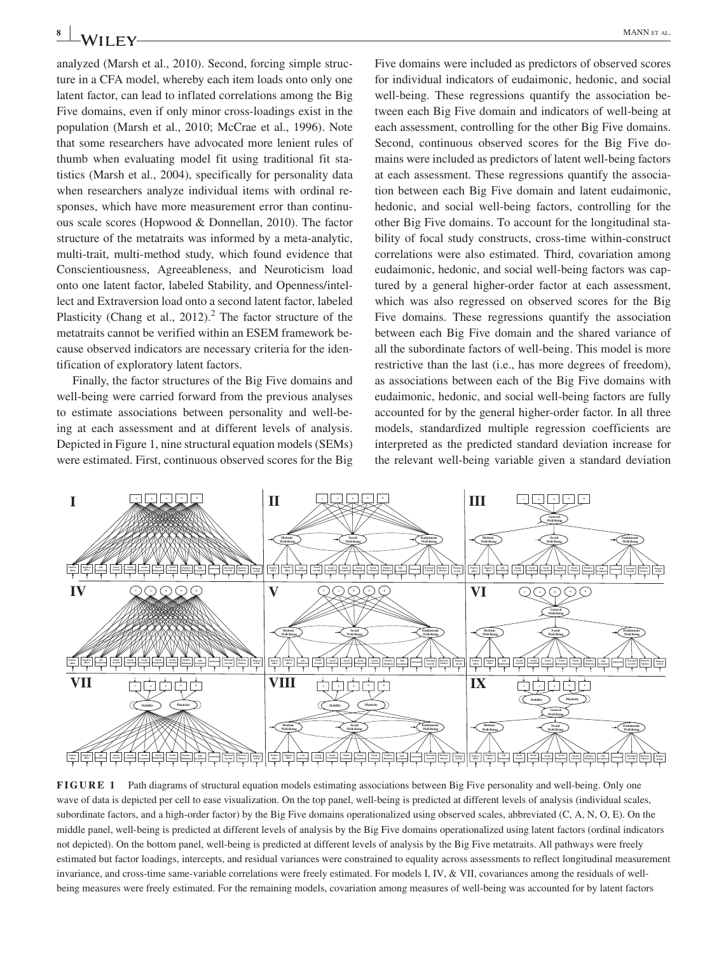analyzed (Marsh et al., 2010). Second, forcing simple structure in a CFA model, whereby each item loads onto only one latent factor, can lead to inflated correlations among the Big Five domains, even if only minor cross-loadings exist in the population (Marsh et al., 2010; McCrae et al., 1996). Note that some researchers have advocated more lenient rules of thumb when evaluating model fit using traditional fit statistics (Marsh et al., 2004), specifically for personality data when researchers analyze individual items with ordinal responses, which have more measurement error than continuous scale scores (Hopwood & Donnellan, 2010). The factor structure of the metatraits was informed by a meta-analytic, multi-trait, multi-method study, which found evidence that Conscientiousness, Agreeableness, and Neuroticism load onto one latent factor, labeled Stability, and Openness/intellect and Extraversion load onto a second latent factor, labeled Plasticity (Chang et al.,  $2012$ ).<sup>2</sup> The factor structure of the metatraits cannot be verified within an ESEM framework because observed indicators are necessary criteria for the identification of exploratory latent factors.

Finally, the factor structures of the Big Five domains and well-being were carried forward from the previous analyses to estimate associations between personality and well-being at each assessment and at different levels of analysis. Depicted in Figure 1, nine structural equation models (SEMs) were estimated. First, continuous observed scores for the Big Five domains were included as predictors of observed scores for individual indicators of eudaimonic, hedonic, and social well-being. These regressions quantify the association between each Big Five domain and indicators of well-being at each assessment, controlling for the other Big Five domains. Second, continuous observed scores for the Big Five domains were included as predictors of latent well-being factors at each assessment. These regressions quantify the association between each Big Five domain and latent eudaimonic, hedonic, and social well-being factors, controlling for the other Big Five domains. To account for the longitudinal stability of focal study constructs, cross-time within-construct correlations were also estimated. Third, covariation among eudaimonic, hedonic, and social well-being factors was captured by a general higher-order factor at each assessment, which was also regressed on observed scores for the Big Five domains. These regressions quantify the association between each Big Five domain and the shared variance of all the subordinate factors of well-being. This model is more restrictive than the last (i.e., has more degrees of freedom), as associations between each of the Big Five domains with eudaimonic, hedonic, and social well-being factors are fully accounted for by the general higher-order factor. In all three models, standardized multiple regression coefficients are interpreted as the predicted standard deviation increase for the relevant well-being variable given a standard deviation



**FIGURE 1** Path diagrams of structural equation models estimating associations between Big Five personality and well-being. Only one wave of data is depicted per cell to ease visualization. On the top panel, well-being is predicted at different levels of analysis (individual scales, subordinate factors, and a high-order factor) by the Big Five domains operationalized using observed scales, abbreviated (C, A, N, O, E). On the middle panel, well-being is predicted at different levels of analysis by the Big Five domains operationalized using latent factors (ordinal indicators not depicted). On the bottom panel, well-being is predicted at different levels of analysis by the Big Five metatraits. All pathways were freely estimated but factor loadings, intercepts, and residual variances were constrained to equality across assessments to reflect longitudinal measurement invariance, and cross-time same-variable correlations were freely estimated. For models I, IV, & VII, covariances among the residuals of wellbeing measures were freely estimated. For the remaining models, covariation among measures of well-being was accounted for by latent factors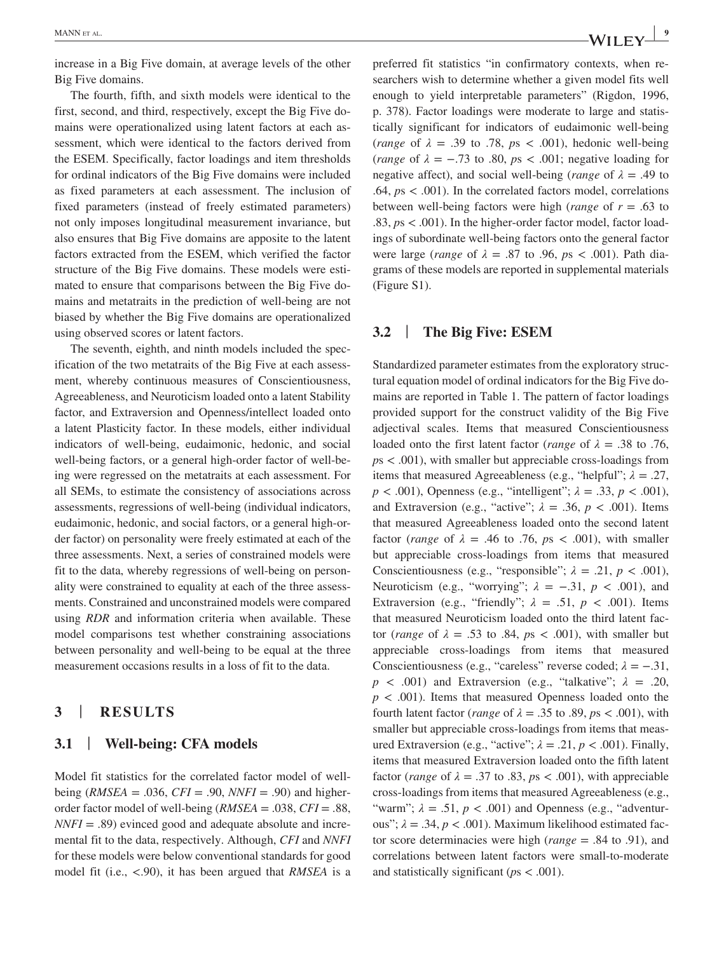increase in a Big Five domain, at average levels of the other Big Five domains.

The fourth, fifth, and sixth models were identical to the first, second, and third, respectively, except the Big Five domains were operationalized using latent factors at each assessment, which were identical to the factors derived from the ESEM. Specifically, factor loadings and item thresholds for ordinal indicators of the Big Five domains were included as fixed parameters at each assessment. The inclusion of fixed parameters (instead of freely estimated parameters) not only imposes longitudinal measurement invariance, but also ensures that Big Five domains are apposite to the latent factors extracted from the ESEM, which verified the factor structure of the Big Five domains. These models were estimated to ensure that comparisons between the Big Five domains and metatraits in the prediction of well-being are not biased by whether the Big Five domains are operationalized using observed scores or latent factors.

The seventh, eighth, and ninth models included the specification of the two metatraits of the Big Five at each assessment, whereby continuous measures of Conscientiousness, Agreeableness, and Neuroticism loaded onto a latent Stability factor, and Extraversion and Openness/intellect loaded onto a latent Plasticity factor. In these models, either individual indicators of well-being, eudaimonic, hedonic, and social well-being factors, or a general high-order factor of well-being were regressed on the metatraits at each assessment. For all SEMs, to estimate the consistency of associations across assessments, regressions of well-being (individual indicators, eudaimonic, hedonic, and social factors, or a general high-order factor) on personality were freely estimated at each of the three assessments. Next, a series of constrained models were fit to the data, whereby regressions of well-being on personality were constrained to equality at each of the three assessments. Constrained and unconstrained models were compared using *RDR* and information criteria when available. These model comparisons test whether constraining associations between personality and well-being to be equal at the three measurement occasions results in a loss of fit to the data.

#### **3** | **RESULTS**

#### **3.1** | **Well-being: CFA models**

Model fit statistics for the correlated factor model of wellbeing (*RMSEA* = .036, *CFI* = .90, *NNFI* = .90) and higherorder factor model of well-being (*RMSEA* = .038, *CFI* = .88, *NNFI* = .89) evinced good and adequate absolute and incremental fit to the data, respectively. Although, *CFI* and *NNFI* for these models were below conventional standards for good model fit (i.e., <.90), it has been argued that *RMSEA* is a preferred fit statistics "in confirmatory contexts, when researchers wish to determine whether a given model fits well enough to yield interpretable parameters" (Rigdon, 1996, p. 378). Factor loadings were moderate to large and statistically significant for indicators of eudaimonic well-being (*range* of  $\lambda = .39$  to .78,  $ps < .001$ ), hedonic well-being (*range* of  $\lambda = -.73$  to .80,  $ps < .001$ ; negative loading for negative affect), and social well-being (*range* of  $\lambda = .49$  to .64, *p*s < .001). In the correlated factors model, correlations between well-being factors were high (*range* of *r* = .63 to .83, *p*s < .001). In the higher-order factor model, factor loadings of subordinate well-being factors onto the general factor were large (*range* of  $\lambda = .87$  to .96,  $ps < .001$ ). Path diagrams of these models are reported in supplemental materials (Figure S1).

#### **3.2** | **The Big Five: ESEM**

Standardized parameter estimates from the exploratory structural equation model of ordinal indicators for the Big Five domains are reported in Table 1. The pattern of factor loadings provided support for the construct validity of the Big Five adjectival scales. Items that measured Conscientiousness loaded onto the first latent factor (*range* of  $\lambda = .38$  to .76, *p*s < .001), with smaller but appreciable cross-loadings from items that measured Agreeableness (e.g., "helpful";  $\lambda = .27$ , *p* < .001), Openness (e.g., "intelligent"; *λ* = .33, *p* < .001), and Extraversion (e.g., "active";  $\lambda = .36$ ,  $p < .001$ ). Items that measured Agreeableness loaded onto the second latent factor (*range* of  $\lambda = .46$  to .76,  $ps < .001$ ), with smaller but appreciable cross-loadings from items that measured Conscientiousness (e.g., "responsible";  $\lambda = .21$ ,  $p < .001$ ), Neuroticism (e.g., "worrying";  $\lambda = -.31$ ,  $p < .001$ ), and Extraversion (e.g., "friendly";  $\lambda = .51$ ,  $p < .001$ ). Items that measured Neuroticism loaded onto the third latent factor (*range* of  $\lambda = .53$  to .84,  $ps < .001$ ), with smaller but appreciable cross-loadings from items that measured Conscientiousness (e.g., "careless" reverse coded; *λ* = −.31,  $p \leq .001$ ) and Extraversion (e.g., "talkative";  $\lambda = .20$ ,  $p < .001$ ). Items that measured Openness loaded onto the fourth latent factor (*range* of  $\lambda = .35$  to .89,  $ps < .001$ ), with smaller but appreciable cross-loadings from items that measured Extraversion (e.g., "active";  $\lambda = .21$ ,  $p < .001$ ). Finally, items that measured Extraversion loaded onto the fifth latent factor (*range* of  $\lambda = .37$  to  $.83$ ,  $ps < .001$ ), with appreciable cross-loadings from items that measured Agreeableness (e.g., "warm";  $\lambda = .51$ ,  $p < .001$ ) and Openness (e.g., "adventurous";  $\lambda = .34$ ,  $p < .001$ ). Maximum likelihood estimated factor score determinacies were high (*range* = .84 to .91), and correlations between latent factors were small-to-moderate and statistically significant (*p*s < .001).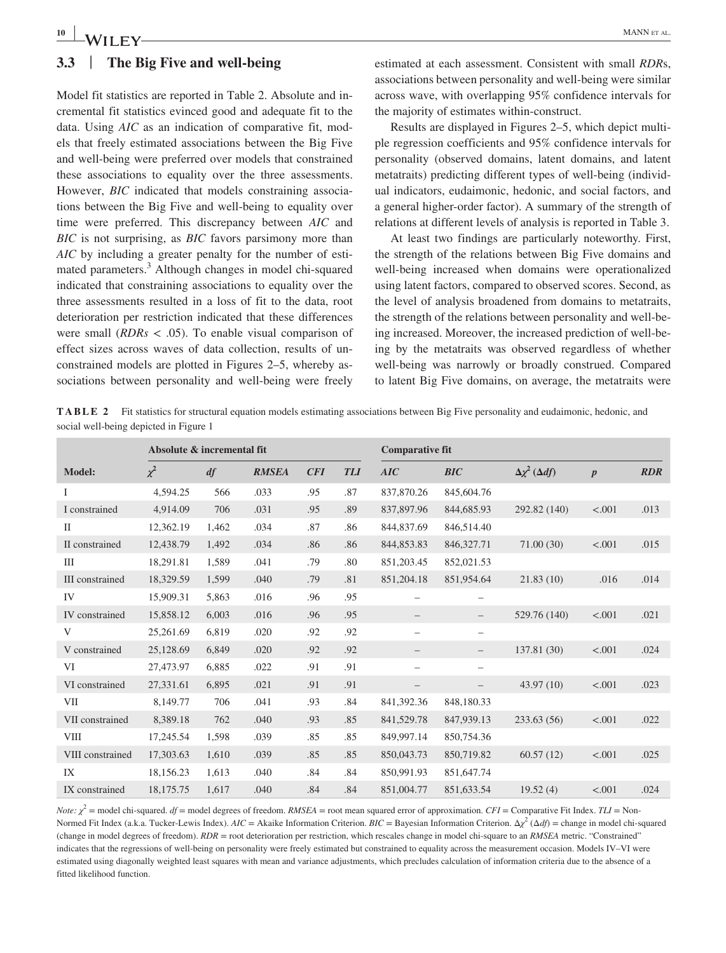# **3.3** | **The Big Five and well-being**

Model fit statistics are reported in Table 2. Absolute and incremental fit statistics evinced good and adequate fit to the data. Using *AIC* as an indication of comparative fit, models that freely estimated associations between the Big Five and well-being were preferred over models that constrained these associations to equality over the three assessments. However, *BIC* indicated that models constraining associations between the Big Five and well-being to equality over time were preferred. This discrepancy between *AIC* and *BIC* is not surprising, as *BIC* favors parsimony more than *AIC* by including a greater penalty for the number of estimated parameters.<sup>3</sup> Although changes in model chi-squared indicated that constraining associations to equality over the three assessments resulted in a loss of fit to the data, root deterioration per restriction indicated that these differences were small  $(RDRs < .05)$ . To enable visual comparison of effect sizes across waves of data collection, results of unconstrained models are plotted in Figures 2–5, whereby associations between personality and well-being were freely

estimated at each assessment. Consistent with small *RDR*s, associations between personality and well-being were similar across wave, with overlapping 95% confidence intervals for the majority of estimates within-construct.

Results are displayed in Figures 2–5, which depict multiple regression coefficients and 95% confidence intervals for personality (observed domains, latent domains, and latent metatraits) predicting different types of well-being (individual indicators, eudaimonic, hedonic, and social factors, and a general higher-order factor). A summary of the strength of relations at different levels of analysis is reported in Table 3.

At least two findings are particularly noteworthy. First, the strength of the relations between Big Five domains and well-being increased when domains were operationalized using latent factors, compared to observed scores. Second, as the level of analysis broadened from domains to metatraits, the strength of the relations between personality and well-being increased. Moreover, the increased prediction of well-being by the metatraits was observed regardless of whether well-being was narrowly or broadly construed. Compared to latent Big Five domains, on average, the metatraits were

**TABLE 2** Fit statistics for structural equation models estimating associations between Big Five personality and eudaimonic, hedonic, and social well-being depicted in Figure 1

|                        | Absolute & incremental fit |       |              |     |            | <b>Comparative fit</b>   |                          |                                 |                  |            |  |
|------------------------|----------------------------|-------|--------------|-----|------------|--------------------------|--------------------------|---------------------------------|------------------|------------|--|
| <b>Model:</b>          | $\chi^2$                   | df    | <b>RMSEA</b> | CFI | <b>TLI</b> | AIC                      | BIC                      | $\Delta \chi^2$ ( $\Delta df$ ) | $\boldsymbol{p}$ | <b>RDR</b> |  |
| Ι                      | 4,594.25                   | 566   | .033         | .95 | .87        | 837,870.26               | 845,604.76               |                                 |                  |            |  |
| I constrained          | 4,914.09                   | 706   | .031         | .95 | .89        | 837,897.96               | 844,685.93               | 292.82 (140)                    | < .001           | .013       |  |
| П                      | 12,362.19                  | 1,462 | .034         | .87 | .86        | 844,837.69               | 846,514.40               |                                 |                  |            |  |
| II constrained         | 12,438.79                  | 1,492 | .034         | .86 | .86        | 844,853.83               | 846,327.71               | 71.00(30)                       | < .001           | .015       |  |
| Ш                      | 18,291.81                  | 1,589 | .041         | .79 | .80        | 851,203.45               | 852,021.53               |                                 |                  |            |  |
| <b>III</b> constrained | 18,329.59                  | 1,599 | .040         | .79 | .81        | 851,204.18               | 851,954.64               | 21.83(10)                       | .016             | .014       |  |
| IV                     | 15,909.31                  | 5,863 | .016         | .96 | .95        |                          |                          |                                 |                  |            |  |
| IV constrained         | 15,858.12                  | 6,003 | .016         | .96 | .95        | $\overline{\phantom{m}}$ |                          | 529.76 (140)                    | < .001           | .021       |  |
| V                      | 25,261.69                  | 6,819 | .020         | .92 | .92        |                          | $\overline{\phantom{0}}$ |                                 |                  |            |  |
| V constrained          | 25,128.69                  | 6,849 | .020         | .92 | .92        | $\overline{\phantom{m}}$ | $\overline{\phantom{m}}$ | 137.81 (30)                     | < .001           | .024       |  |
| VI                     | 27,473.97                  | 6,885 | .022         | .91 | .91        |                          | $\overline{\phantom{m}}$ |                                 |                  |            |  |
| VI constrained         | 27,331.61                  | 6,895 | .021         | .91 | .91        |                          |                          | 43.97(10)                       | < .001           | .023       |  |
| VII                    | 8,149.77                   | 706   | .041         | .93 | .84        | 841,392.36               | 848,180.33               |                                 |                  |            |  |
| VII constrained        | 8,389.18                   | 762   | .040         | .93 | .85        | 841,529.78               | 847,939.13               | 233.63 (56)                     | < .001           | .022       |  |
| <b>VIII</b>            | 17,245.54                  | 1.598 | .039         | .85 | .85        | 849,997.14               | 850,754.36               |                                 |                  |            |  |
| VIII constrained       | 17,303.63                  | 1,610 | .039         | .85 | .85        | 850,043.73               | 850,719.82               | 60.57(12)                       | < .001           | .025       |  |
| IX                     | 18,156.23                  | 1,613 | .040         | .84 | .84        | 850,991.93               | 851,647.74               |                                 |                  |            |  |
| IX constrained         | 18,175.75                  | 1.617 | .040         | .84 | .84        | 851,004.77               | 851,633.54               | 19.52(4)                        | < .001           | .024       |  |

*Note:*  $\chi^2$  = model chi-squared. *df* = model degrees of freedom. *RMSEA* = root mean squared error of approximation. *CFI* = Comparative Fit Index. *TLI* = Non-Normed Fit Index (a.k.a. Tucker-Lewis Index). *AIC* = Akaike Information Criterion. *BIC* = Bayesian Information Criterion. Δ*χ*<sup>2</sup> (Δ*df*) = change in model chi-squared (change in model degrees of freedom). *RDR* = root deterioration per restriction, which rescales change in model chi-square to an *RMSEA* metric. "Constrained" indicates that the regressions of well-being on personality were freely estimated but constrained to equality across the measurement occasion. Models IV–VI were estimated using diagonally weighted least squares with mean and variance adjustments, which precludes calculation of information criteria due to the absence of a fitted likelihood function.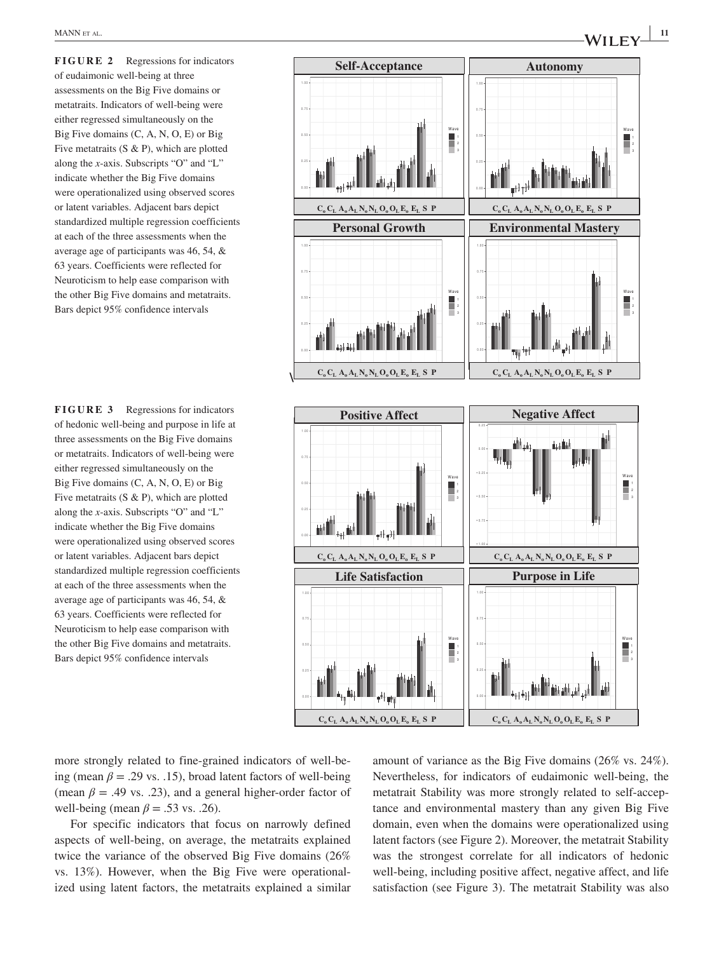**FIGURE 2** Regressions for indicators of eudaimonic well-being at three assessments on the Big Five domains or metatraits. Indicators of well-being were either regressed simultaneously on the Big Five domains (C, A, N, O, E) or Big Five metatraits  $(S \& P)$ , which are plotted along the *x*-axis. Subscripts "O" and "L" indicate whether the Big Five domains were operationalized using observed scores or latent variables. Adjacent bars depict standardized multiple regression coefficients at each of the three assessments when the average age of participants was 46, 54, & 63 years. Coefficients were reflected for Neuroticism to help ease comparison with the other Big Five domains and metatraits. Bars depict 95% confidence intervals

**FIGURE 3** Regressions for indicators of hedonic well-being and purpose in life at three assessments on the Big Five domains or metatraits. Indicators of well-being were either regressed simultaneously on the Big Five domains (C, A, N, O, E) or Big Five metatraits (S & P), which are plotted along the *x*-axis. Subscripts "O" and "L" indicate whether the Big Five domains were operationalized using observed scores or latent variables. Adjacent bars depict standardized multiple regression coefficients at each of the three assessments when the average age of participants was 46, 54, & 63 years. Coefficients were reflected for Neuroticism to help ease comparison with the other Big Five domains and metatraits. Bars depict 95% confidence intervals





 $C_{o} C_{L} A_{o} A_{L} N_{o} N_{L} O_{o} O_{L} E_{o} E_{L} S P$ 

more strongly related to fine-grained indicators of well-being (mean  $\beta$  = .29 vs. .15), broad latent factors of well-being (mean  $\beta$  = .49 vs. .23), and a general higher-order factor of well-being (mean  $\beta$  = .53 vs. .26).

**\**

0 .7 5

1 .0 0

1.0 0

1.0 0

For specific indicators that focus on narrowly defined aspects of well-being, on average, the metatraits explained twice the variance of the observed Big Five domains (26% vs. 13%). However, when the Big Five were operationalized using latent factors, the metatraits explained a similar amount of variance as the Big Five domains (26% vs. 24%). Nevertheless, for indicators of eudaimonic well-being, the metatrait Stability was more strongly related to self-acceptance and environmental mastery than any given Big Five domain, even when the domains were operationalized using latent factors (see Figure 2). Moreover, the metatrait Stability was the strongest correlate for all indicators of hedonic well-being, including positive affect, negative affect, and life satisfaction (see Figure 3). The metatrait Stability was also

 $C_{o} C_{L} A_{o} A_{L} N_{o} N_{L} O_{o} O_{L} E_{o} E_{L} S P$ 

1 2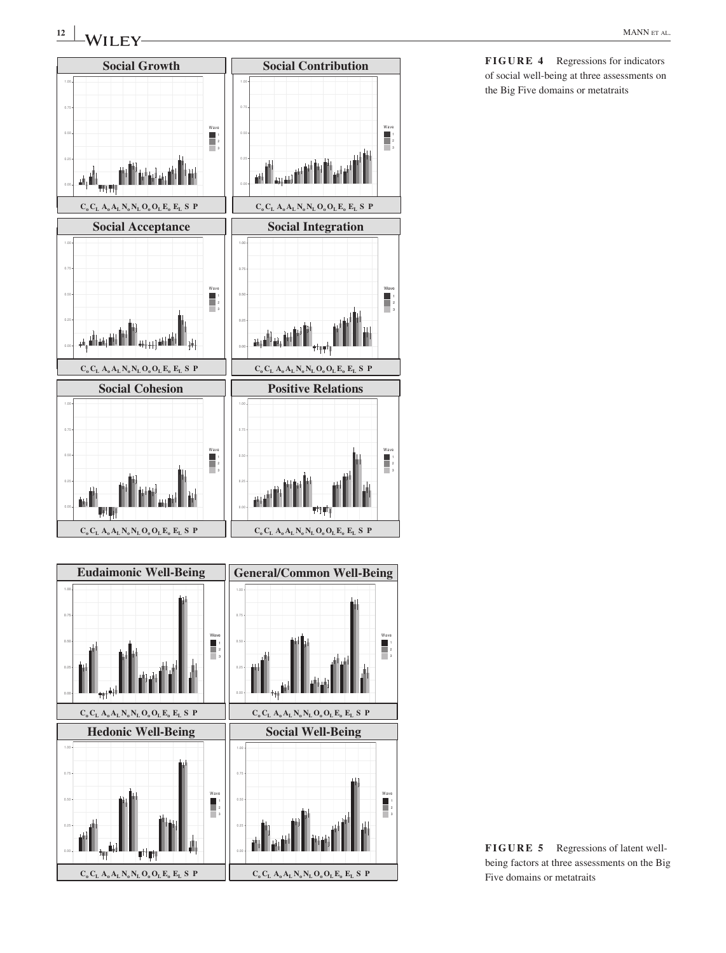

**FIGURE 4** Regressions for indicators of social well-being at three assessments on

the Big Five domains or metatraits

**FIGURE 5** Regressions of latent wellbeing factors at three assessments on the Big

Five domains or metatraits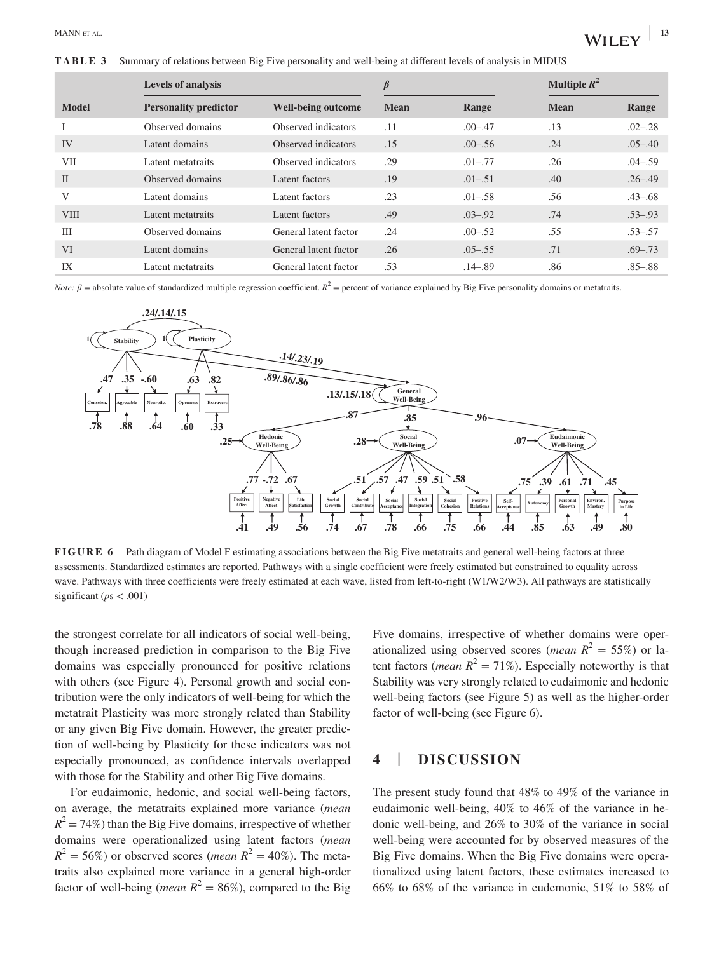**TABLE 3** Summary of relations between Big Five personality and well-being at different levels of analysis in MIDUS

|              | <b>Levels of analysis</b>    |                           | $\beta$     |             | Multiple $R^2$ |             |  |
|--------------|------------------------------|---------------------------|-------------|-------------|----------------|-------------|--|
| <b>Model</b> | <b>Personality predictor</b> | <b>Well-being outcome</b> | <b>Mean</b> | Range       | <b>Mean</b>    | Range       |  |
| T            | Observed domains             | Observed indicators       | .11         | $.00-.47$   | .13            | $.02 - .28$ |  |
| IV           | Latent domains               | Observed indicators       | .15         | $.00-0.56$  | .24            | $.05 - .40$ |  |
| <b>VII</b>   | Latent metatraits            | Observed indicators       | .29         | $.01 - .77$ | .26            | $.04 - .59$ |  |
| $\mathbf{H}$ | Observed domains             | Latent factors            | .19         | $.01 - .51$ | .40            | $.26 - .49$ |  |
| V            | Latent domains               | Latent factors            | .23         | $.01 - .58$ | .56            | $.43 - .68$ |  |
| <b>VIII</b>  | Latent metatraits            | Latent factors            | .49         | $.03 - .92$ | .74            | $.53 - .93$ |  |
| Ш            | Observed domains             | General latent factor     | .24         | $.00 - .52$ | .55            | $.53 - .57$ |  |
| <b>VI</b>    | Latent domains               | General latent factor     | .26         | $.05 - .55$ | .71            | $.69 - .73$ |  |
| IX           | Latent metatraits            | General latent factor     | .53         | $.14 - .89$ | .86            | $.85 - .88$ |  |

*Note:*  $\beta$  = absolute value of standardized multiple regression coefficient.  $R^2$  = percent of variance explained by Big Five personality domains or metatraits.



**FIGURE 6** Path diagram of Model F estimating associations between the Big Five metatraits and general well-being factors at three assessments. Standardized estimates are reported. Pathways with a single coefficient were freely estimated but constrained to equality across wave. Pathways with three coefficients were freely estimated at each wave, listed from left-to-right (W1/W2/W3). All pathways are statistically significant (*p*s < .001)

the strongest correlate for all indicators of social well-being, though increased prediction in comparison to the Big Five domains was especially pronounced for positive relations with others (see Figure 4). Personal growth and social contribution were the only indicators of well-being for which the metatrait Plasticity was more strongly related than Stability or any given Big Five domain. However, the greater prediction of well-being by Plasticity for these indicators was not especially pronounced, as confidence intervals overlapped with those for the Stability and other Big Five domains.

For eudaimonic, hedonic, and social well-being factors, on average, the metatraits explained more variance (*mean*   $R^2 = 74\%$ ) than the Big Five domains, irrespective of whether domains were operationalized using latent factors (*mean*   $R^2 = 56\%$ ) or observed scores (*mean*  $R^2 = 40\%$ ). The metatraits also explained more variance in a general high-order factor of well-being (*mean*  $R^2 = 86\%$ ), compared to the Big Five domains, irrespective of whether domains were operationalized using observed scores (*mean*  $R^2 = 55\%$ ) or latent factors (*mean*  $R^2 = 71\%$ ). Especially noteworthy is that Stability was very strongly related to eudaimonic and hedonic well-being factors (see Figure 5) as well as the higher-order factor of well-being (see Figure 6).

## **4** | **DISCUSSION**

The present study found that 48% to 49% of the variance in eudaimonic well-being, 40% to 46% of the variance in hedonic well-being, and 26% to 30% of the variance in social well-being were accounted for by observed measures of the Big Five domains. When the Big Five domains were operationalized using latent factors, these estimates increased to 66% to 68% of the variance in eudemonic, 51% to 58% of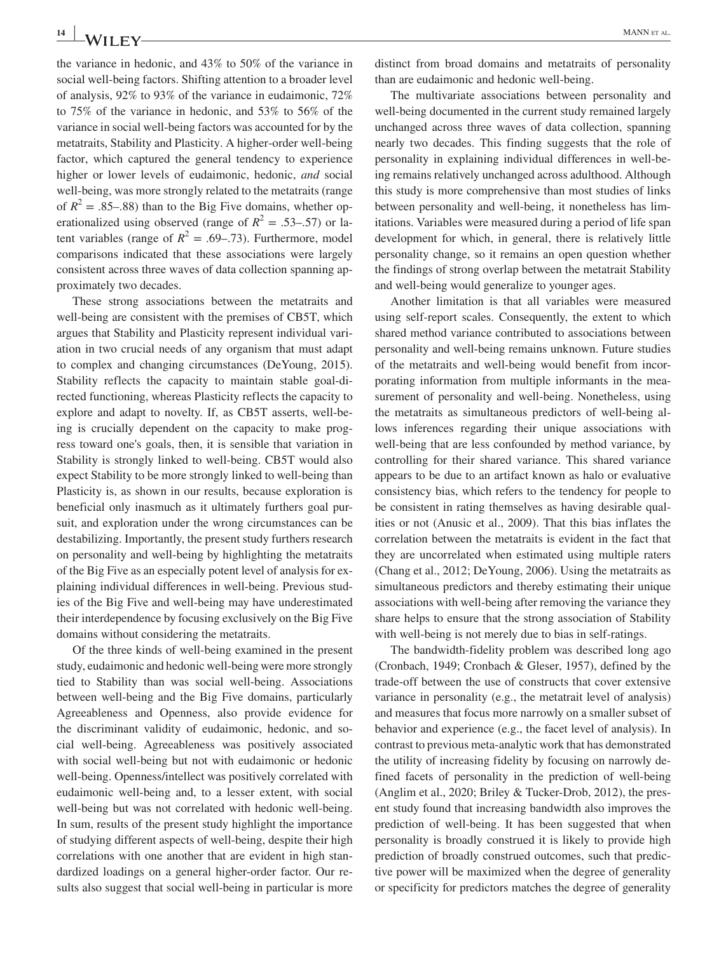the variance in hedonic, and 43% to 50% of the variance in social well-being factors. Shifting attention to a broader level of analysis, 92% to 93% of the variance in eudaimonic, 72% to 75% of the variance in hedonic, and 53% to 56% of the variance in social well-being factors was accounted for by the metatraits, Stability and Plasticity. A higher-order well-being factor, which captured the general tendency to experience higher or lower levels of eudaimonic, hedonic, *and* social well-being, was more strongly related to the metatraits (range of  $R^2 = .85-.88$ ) than to the Big Five domains, whether operationalized using observed (range of  $R^2 = .53-.57$ ) or latent variables (range of  $R^2 = .69-.73$ ). Furthermore, model comparisons indicated that these associations were largely consistent across three waves of data collection spanning approximately two decades.

These strong associations between the metatraits and well-being are consistent with the premises of CB5T, which argues that Stability and Plasticity represent individual variation in two crucial needs of any organism that must adapt to complex and changing circumstances (DeYoung, 2015). Stability reflects the capacity to maintain stable goal-directed functioning, whereas Plasticity reflects the capacity to explore and adapt to novelty. If, as CB5T asserts, well-being is crucially dependent on the capacity to make progress toward one's goals, then, it is sensible that variation in Stability is strongly linked to well-being. CB5T would also expect Stability to be more strongly linked to well-being than Plasticity is, as shown in our results, because exploration is beneficial only inasmuch as it ultimately furthers goal pursuit, and exploration under the wrong circumstances can be destabilizing. Importantly, the present study furthers research on personality and well-being by highlighting the metatraits of the Big Five as an especially potent level of analysis for explaining individual differences in well-being. Previous studies of the Big Five and well-being may have underestimated their interdependence by focusing exclusively on the Big Five domains without considering the metatraits.

Of the three kinds of well-being examined in the present study, eudaimonic and hedonic well-being were more strongly tied to Stability than was social well-being. Associations between well-being and the Big Five domains, particularly Agreeableness and Openness, also provide evidence for the discriminant validity of eudaimonic, hedonic, and social well-being. Agreeableness was positively associated with social well-being but not with eudaimonic or hedonic well-being. Openness/intellect was positively correlated with eudaimonic well-being and, to a lesser extent, with social well-being but was not correlated with hedonic well-being. In sum, results of the present study highlight the importance of studying different aspects of well-being, despite their high correlations with one another that are evident in high standardized loadings on a general higher-order factor. Our results also suggest that social well-being in particular is more

distinct from broad domains and metatraits of personality than are eudaimonic and hedonic well-being.

The multivariate associations between personality and well-being documented in the current study remained largely unchanged across three waves of data collection, spanning nearly two decades. This finding suggests that the role of personality in explaining individual differences in well-being remains relatively unchanged across adulthood. Although this study is more comprehensive than most studies of links between personality and well-being, it nonetheless has limitations. Variables were measured during a period of life span development for which, in general, there is relatively little personality change, so it remains an open question whether the findings of strong overlap between the metatrait Stability and well-being would generalize to younger ages.

Another limitation is that all variables were measured using self-report scales. Consequently, the extent to which shared method variance contributed to associations between personality and well-being remains unknown. Future studies of the metatraits and well-being would benefit from incorporating information from multiple informants in the measurement of personality and well-being. Nonetheless, using the metatraits as simultaneous predictors of well-being allows inferences regarding their unique associations with well-being that are less confounded by method variance, by controlling for their shared variance. This shared variance appears to be due to an artifact known as halo or evaluative consistency bias, which refers to the tendency for people to be consistent in rating themselves as having desirable qualities or not (Anusic et al., 2009). That this bias inflates the correlation between the metatraits is evident in the fact that they are uncorrelated when estimated using multiple raters (Chang et al., 2012; DeYoung, 2006). Using the metatraits as simultaneous predictors and thereby estimating their unique associations with well-being after removing the variance they share helps to ensure that the strong association of Stability with well-being is not merely due to bias in self-ratings.

The bandwidth-fidelity problem was described long ago (Cronbach, 1949; Cronbach & Gleser, 1957), defined by the trade-off between the use of constructs that cover extensive variance in personality (e.g., the metatrait level of analysis) and measures that focus more narrowly on a smaller subset of behavior and experience (e.g., the facet level of analysis). In contrast to previous meta-analytic work that has demonstrated the utility of increasing fidelity by focusing on narrowly defined facets of personality in the prediction of well-being (Anglim et al., 2020; Briley & Tucker-Drob, 2012), the present study found that increasing bandwidth also improves the prediction of well-being. It has been suggested that when personality is broadly construed it is likely to provide high prediction of broadly construed outcomes, such that predictive power will be maximized when the degree of generality or specificity for predictors matches the degree of generality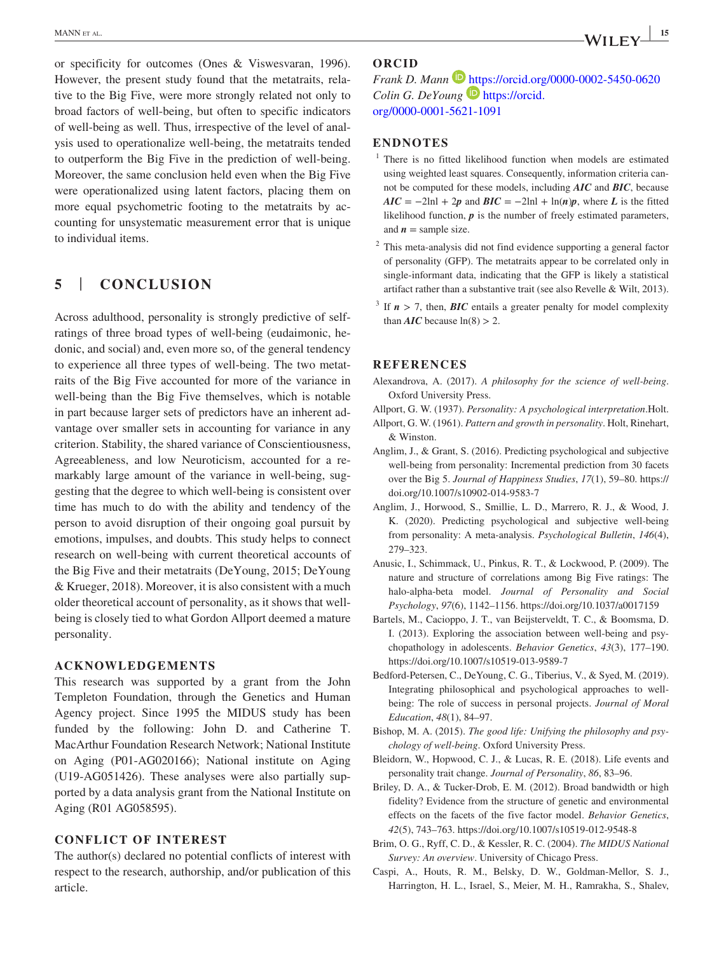or specificity for outcomes (Ones & Viswesvaran, 1996). However, the present study found that the metatraits, relative to the Big Five, were more strongly related not only to broad factors of well-being, but often to specific indicators of well-being as well. Thus, irrespective of the level of analysis used to operationalize well-being, the metatraits tended to outperform the Big Five in the prediction of well-being. Moreover, the same conclusion held even when the Big Five were operationalized using latent factors, placing them on more equal psychometric footing to the metatraits by accounting for unsystematic measurement error that is unique to individual items.

# **5** | **CONCLUSION**

Across adulthood, personality is strongly predictive of selfratings of three broad types of well-being (eudaimonic, hedonic, and social) and, even more so, of the general tendency to experience all three types of well-being. The two metatraits of the Big Five accounted for more of the variance in well-being than the Big Five themselves, which is notable in part because larger sets of predictors have an inherent advantage over smaller sets in accounting for variance in any criterion. Stability, the shared variance of Conscientiousness, Agreeableness, and low Neuroticism, accounted for a remarkably large amount of the variance in well-being, suggesting that the degree to which well-being is consistent over time has much to do with the ability and tendency of the person to avoid disruption of their ongoing goal pursuit by emotions, impulses, and doubts. This study helps to connect research on well-being with current theoretical accounts of the Big Five and their metatraits (DeYoung, 2015; DeYoung & Krueger, 2018). Moreover, it is also consistent with a much older theoretical account of personality, as it shows that wellbeing is closely tied to what Gordon Allport deemed a mature personality.

#### **ACKNOWLEDGEMENTS**

This research was supported by a grant from the John Templeton Foundation, through the Genetics and Human Agency project. Since 1995 the MIDUS study has been funded by the following: John D. and Catherine T. MacArthur Foundation Research Network; National Institute on Aging (P01-AG020166); National institute on Aging (U19-AG051426). These analyses were also partially supported by a data analysis grant from the National Institute on Aging (R01 AG058595).

### **CONFLICT OF INTEREST**

The author(s) declared no potential conflicts of interest with respect to the research, authorship, and/or publication of this article.

#### **ORCID**

*Frank D. Mann* **D** <https://orcid.org/0000-0002-5450-0620> *Colin G. DeYoung* [https://orcid.](https://orcid.org/0000-0001-5621-1091) [org/0000-0001-5621-1091](https://orcid.org/0000-0001-5621-1091)

#### **ENDNOTES**

- <sup>1</sup> There is no fitted likelihood function when models are estimated using weighted least squares. Consequently, information criteria cannot be computed for these models, including *AIC* and *BIC*, because  $AIC = -2\ln 1 + 2p$  and  $BIC = -2\ln 1 + \ln(n)p$ , where *L* is the fitted likelihood function, *p* is the number of freely estimated parameters, and  $n =$  sample size.
- <sup>2</sup> This meta-analysis did not find evidence supporting a general factor of personality (GFP). The metatraits appear to be correlated only in single-informant data, indicating that the GFP is likely a statistical artifact rather than a substantive trait (see also Revelle & Wilt, 2013).
- <sup>3</sup> If  $n > 7$ , then, *BIC* entails a greater penalty for model complexity than  $AIC$  because  $ln(8) > 2$ .

#### **REFERENCES**

- Alexandrova, A. (2017). *A philosophy for the science of well-being*. Oxford University Press.
- Allport, G. W. (1937). *Personality: A psychological interpretation*.Holt.
- Allport, G. W. (1961). *Pattern and growth in personality*. Holt, Rinehart, & Winston.
- Anglim, J., & Grant, S. (2016). Predicting psychological and subjective well-being from personality: Incremental prediction from 30 facets over the Big 5. *Journal of Happiness Studies*, *17*(1), 59–80. [https://](https://doi.org/10.1007/s10902-014-9583-7) [doi.org/10.1007/s10902-014-9583-7](https://doi.org/10.1007/s10902-014-9583-7)
- Anglim, J., Horwood, S., Smillie, L. D., Marrero, R. J., & Wood, J. K. (2020). Predicting psychological and subjective well-being from personality: A meta-analysis. *Psychological Bulletin*, *146*(4), 279–323.
- Anusic, I., Schimmack, U., Pinkus, R. T., & Lockwood, P. (2009). The nature and structure of correlations among Big Five ratings: The halo-alpha-beta model. *Journal of Personality and Social Psychology*, *97*(6), 1142–1156.<https://doi.org/10.1037/a0017159>
- Bartels, M., Cacioppo, J. T., van Beijsterveldt, T. C., & Boomsma, D. I. (2013). Exploring the association between well-being and psychopathology in adolescents. *Behavior Genetics*, *43*(3), 177–190. <https://doi.org/10.1007/s10519-013-9589-7>
- Bedford-Petersen, C., DeYoung, C. G., Tiberius, V., & Syed, M. (2019). Integrating philosophical and psychological approaches to wellbeing: The role of success in personal projects. *Journal of Moral Education*, *48*(1), 84–97.
- Bishop, M. A. (2015). *The good life: Unifying the philosophy and psychology of well-being*. Oxford University Press.
- Bleidorn, W., Hopwood, C. J., & Lucas, R. E. (2018). Life events and personality trait change. *Journal of Personality*, *86*, 83–96.
- Briley, D. A., & Tucker-Drob, E. M. (2012). Broad bandwidth or high fidelity? Evidence from the structure of genetic and environmental effects on the facets of the five factor model. *Behavior Genetics*, *42*(5), 743–763.<https://doi.org/10.1007/s10519-012-9548-8>
- Brim, O. G., Ryff, C. D., & Kessler, R. C. (2004). *The MIDUS National Survey: An overview*. University of Chicago Press.
- Caspi, A., Houts, R. M., Belsky, D. W., Goldman-Mellor, S. J., Harrington, H. L., Israel, S., Meier, M. H., Ramrakha, S., Shalev,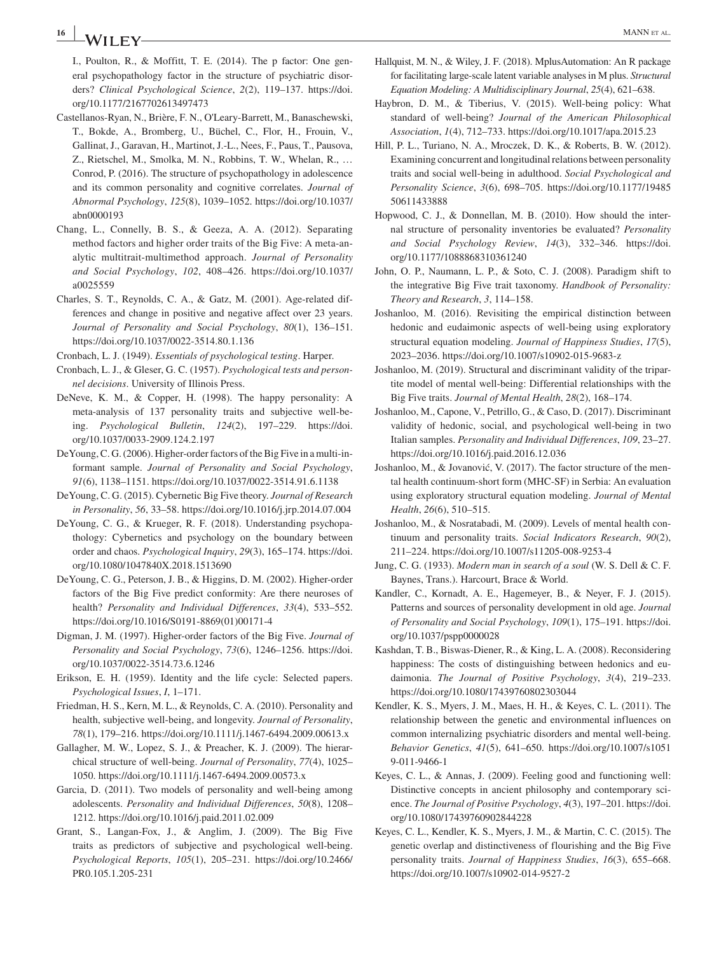I., Poulton, R., & Moffitt, T. E. (2014). The p factor: One general psychopathology factor in the structure of psychiatric disorders? *Clinical Psychological Science*, *2*(2), 119–137. [https://doi.](https://doi.org/10.1177/2167702613497473) [org/10.1177/2167702613497473](https://doi.org/10.1177/2167702613497473)

- Castellanos-Ryan, N., Brière, F. N., O'Leary-Barrett, M., Banaschewski, T., Bokde, A., Bromberg, U., Büchel, C., Flor, H., Frouin, V., Gallinat, J., Garavan, H., Martinot, J.-L., Nees, F., Paus, T., Pausova, Z., Rietschel, M., Smolka, M. N., Robbins, T. W., Whelan, R., … Conrod, P. (2016). The structure of psychopathology in adolescence and its common personality and cognitive correlates. *Journal of Abnormal Psychology*, *125*(8), 1039–1052. [https://doi.org/10.1037/](https://doi.org/10.1037/abn0000193) [abn0000193](https://doi.org/10.1037/abn0000193)
- Chang, L., Connelly, B. S., & Geeza, A. A. (2012). Separating method factors and higher order traits of the Big Five: A meta-analytic multitrait-multimethod approach. *Journal of Personality and Social Psychology*, *102*, 408–426. [https://doi.org/10.1037/](https://doi.org/10.1037/a0025559) [a0025559](https://doi.org/10.1037/a0025559)
- Charles, S. T., Reynolds, C. A., & Gatz, M. (2001). Age-related differences and change in positive and negative affect over 23 years. *Journal of Personality and Social Psychology*, *80*(1), 136–151. <https://doi.org/10.1037/0022-3514.80.1.136>
- Cronbach, L. J. (1949). *Essentials of psychological testing*. Harper.
- Cronbach, L. J., & Gleser, G. C. (1957). *Psychological tests and personnel decisions*. University of Illinois Press.
- DeNeve, K. M., & Copper, H. (1998). The happy personality: A meta-analysis of 137 personality traits and subjective well-being. *Psychological Bulletin*, *124*(2), 197–229. [https://doi.](https://doi.org/10.1037/0033-2909.124.2.197) [org/10.1037/0033-2909.124.2.197](https://doi.org/10.1037/0033-2909.124.2.197)
- DeYoung, C. G. (2006). Higher-order factors of the Big Five in a multi-informant sample. *Journal of Personality and Social Psychology*, *91*(6), 1138–1151. <https://doi.org/10.1037/0022-3514.91.6.1138>
- DeYoung, C. G. (2015). Cybernetic Big Five theory. *Journal of Research in Personality*, *56*, 33–58.<https://doi.org/10.1016/j.jrp.2014.07.004>
- DeYoung, C. G., & Krueger, R. F. (2018). Understanding psychopathology: Cybernetics and psychology on the boundary between order and chaos. *Psychological Inquiry*, *29*(3), 165–174. [https://doi.](https://doi.org/10.1080/1047840X.2018.1513690) [org/10.1080/1047840X.2018.1513690](https://doi.org/10.1080/1047840X.2018.1513690)
- DeYoung, C. G., Peterson, J. B., & Higgins, D. M. (2002). Higher-order factors of the Big Five predict conformity: Are there neuroses of health? *Personality and Individual Differences*, *33*(4), 533–552. [https://doi.org/10.1016/S0191-8869\(01\)00171-4](https://doi.org/10.1016/S0191-8869(01)00171-4)
- Digman, J. M. (1997). Higher-order factors of the Big Five. *Journal of Personality and Social Psychology*, *73*(6), 1246–1256. [https://doi.](https://doi.org/10.1037/0022-3514.73.6.1246) [org/10.1037/0022-3514.73.6.1246](https://doi.org/10.1037/0022-3514.73.6.1246)
- Erikson, E. H. (1959). Identity and the life cycle: Selected papers. *Psychological Issues*, *I*, 1–171.
- Friedman, H. S., Kern, M. L., & Reynolds, C. A. (2010). Personality and health, subjective well-being, and longevity. *Journal of Personality*, *78*(1), 179–216.<https://doi.org/10.1111/j.1467-6494.2009.00613.x>
- Gallagher, M. W., Lopez, S. J., & Preacher, K. J. (2009). The hierarchical structure of well-being. *Journal of Personality*, *77*(4), 1025– 1050. <https://doi.org/10.1111/j.1467-6494.2009.00573.x>
- Garcia, D. (2011). Two models of personality and well-being among adolescents. *Personality and Individual Differences*, *50*(8), 1208– 1212. <https://doi.org/10.1016/j.paid.2011.02.009>
- Grant, S., Langan-Fox, J., & Anglim, J. (2009). The Big Five traits as predictors of subjective and psychological well-being. *Psychological Reports*, *105*(1), 205–231. [https://doi.org/10.2466/](https://doi.org/10.2466/PR0.105.1.205-231) [PR0.105.1.205-231](https://doi.org/10.2466/PR0.105.1.205-231)
- Hallquist, M. N., & Wiley, J. F. (2018). MplusAutomation: An R package for facilitating large-scale latent variable analyses in M plus. *Structural Equation Modeling: A Multidisciplinary Journal*, *25*(4), 621–638.
- Haybron, D. M., & Tiberius, V. (2015). Well-being policy: What standard of well-being? *Journal of the American Philosophical Association*, *1*(4), 712–733. <https://doi.org/10.1017/apa.2015.23>
- Hill, P. L., Turiano, N. A., Mroczek, D. K., & Roberts, B. W. (2012). Examining concurrent and longitudinal relations between personality traits and social well-being in adulthood. *Social Psychological and Personality Science*, *3*(6), 698–705. [https://doi.org/10.1177/19485](https://doi.org/10.1177/1948550611433888) [50611433888](https://doi.org/10.1177/1948550611433888)
- Hopwood, C. J., & Donnellan, M. B. (2010). How should the internal structure of personality inventories be evaluated? *Personality and Social Psychology Review*, *14*(3), 332–346. [https://doi.](https://doi.org/10.1177/1088868310361240) [org/10.1177/1088868310361240](https://doi.org/10.1177/1088868310361240)
- John, O. P., Naumann, L. P., & Soto, C. J. (2008). Paradigm shift to the integrative Big Five trait taxonomy. *Handbook of Personality: Theory and Research*, *3*, 114–158.
- Joshanloo, M. (2016). Revisiting the empirical distinction between hedonic and eudaimonic aspects of well-being using exploratory structural equation modeling. *Journal of Happiness Studies*, *17*(5), 2023–2036.<https://doi.org/10.1007/s10902-015-9683-z>
- Joshanloo, M. (2019). Structural and discriminant validity of the tripartite model of mental well-being: Differential relationships with the Big Five traits. *Journal of Mental Health*, *28*(2), 168–174.
- Joshanloo, M., Capone, V., Petrillo, G., & Caso, D. (2017). Discriminant validity of hedonic, social, and psychological well-being in two Italian samples. *Personality and Individual Differences*, *109*, 23–27. <https://doi.org/10.1016/j.paid.2016.12.036>
- Joshanloo, M., & Jovanović, V. (2017). The factor structure of the mental health continuum-short form (MHC-SF) in Serbia: An evaluation using exploratory structural equation modeling. *Journal of Mental Health*, *26*(6), 510–515.
- Joshanloo, M., & Nosratabadi, M. (2009). Levels of mental health continuum and personality traits. *Social Indicators Research*, *90*(2), 211–224. <https://doi.org/10.1007/s11205-008-9253-4>
- Jung, C. G. (1933). *Modern man in search of a soul* (W. S. Dell & C. F. Baynes, Trans.). Harcourt, Brace & World.
- Kandler, C., Kornadt, A. E., Hagemeyer, B., & Neyer, F. J. (2015). Patterns and sources of personality development in old age. *Journal of Personality and Social Psychology*, *109*(1), 175–191. [https://doi.](https://doi.org/10.1037/pspp0000028) [org/10.1037/pspp0000028](https://doi.org/10.1037/pspp0000028)
- Kashdan, T. B., Biswas-Diener, R., & King, L. A. (2008). Reconsidering happiness: The costs of distinguishing between hedonics and eudaimonia. *The Journal of Positive Psychology*, *3*(4), 219–233. <https://doi.org/10.1080/17439760802303044>
- Kendler, K. S., Myers, J. M., Maes, H. H., & Keyes, C. L. (2011). The relationship between the genetic and environmental influences on common internalizing psychiatric disorders and mental well-being. *Behavior Genetics*, *41*(5), 641–650. [https://doi.org/10.1007/s1051](https://doi.org/10.1007/s10519-011-9466-1) [9-011-9466-1](https://doi.org/10.1007/s10519-011-9466-1)
- Keyes, C. L., & Annas, J. (2009). Feeling good and functioning well: Distinctive concepts in ancient philosophy and contemporary science. *The Journal of Positive Psychology*, *4*(3), 197–201. [https://doi.](https://doi.org/10.1080/17439760902844228) [org/10.1080/17439760902844228](https://doi.org/10.1080/17439760902844228)
- Keyes, C. L., Kendler, K. S., Myers, J. M., & Martin, C. C. (2015). The genetic overlap and distinctiveness of flourishing and the Big Five personality traits. *Journal of Happiness Studies*, *16*(3), 655–668. <https://doi.org/10.1007/s10902-014-9527-2>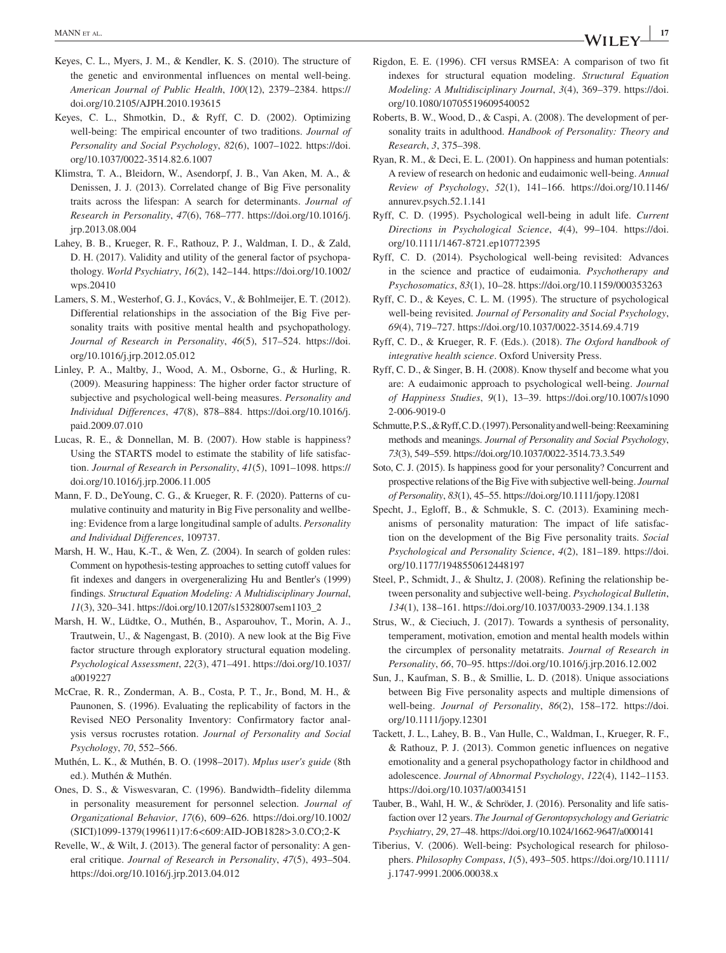- Keyes, C. L., Myers, J. M., & Kendler, K. S. (2010). The structure of the genetic and environmental influences on mental well-being. *American Journal of Public Health*, *100*(12), 2379–2384. [https://](https://doi.org/10.2105/AJPH.2010.193615) [doi.org/10.2105/AJPH.2010.193615](https://doi.org/10.2105/AJPH.2010.193615)
- Keyes, C. L., Shmotkin, D., & Ryff, C. D. (2002). Optimizing well-being: The empirical encounter of two traditions. *Journal of Personality and Social Psychology*, *82*(6), 1007–1022. [https://doi.](https://doi.org/10.1037/0022-3514.82.6.1007) [org/10.1037/0022-3514.82.6.1007](https://doi.org/10.1037/0022-3514.82.6.1007)
- Klimstra, T. A., Bleidorn, W., Asendorpf, J. B., Van Aken, M. A., & Denissen, J. J. (2013). Correlated change of Big Five personality traits across the lifespan: A search for determinants. *Journal of Research in Personality*, *47*(6), 768–777. [https://doi.org/10.1016/j.](https://doi.org/10.1016/j.jrp.2013.08.004) [jrp.2013.08.004](https://doi.org/10.1016/j.jrp.2013.08.004)
- Lahey, B. B., Krueger, R. F., Rathouz, P. J., Waldman, I. D., & Zald, D. H. (2017). Validity and utility of the general factor of psychopathology. *World Psychiatry*, *16*(2), 142–144. [https://doi.org/10.1002/](https://doi.org/10.1002/wps.20410) [wps.20410](https://doi.org/10.1002/wps.20410)
- Lamers, S. M., Westerhof, G. J., Kovács, V., & Bohlmeijer, E. T. (2012). Differential relationships in the association of the Big Five personality traits with positive mental health and psychopathology. *Journal of Research in Personality*, *46*(5), 517–524. [https://doi.](https://doi.org/10.1016/j.jrp.2012.05.012) [org/10.1016/j.jrp.2012.05.012](https://doi.org/10.1016/j.jrp.2012.05.012)
- Linley, P. A., Maltby, J., Wood, A. M., Osborne, G., & Hurling, R. (2009). Measuring happiness: The higher order factor structure of subjective and psychological well-being measures. *Personality and Individual Differences*, *47*(8), 878–884. [https://doi.org/10.1016/j.](https://doi.org/10.1016/j.paid.2009.07.010) [paid.2009.07.010](https://doi.org/10.1016/j.paid.2009.07.010)
- Lucas, R. E., & Donnellan, M. B. (2007). How stable is happiness? Using the STARTS model to estimate the stability of life satisfaction. *Journal of Research in Personality*, *41*(5), 1091–1098. [https://](https://doi.org/10.1016/j.jrp.2006.11.005) [doi.org/10.1016/j.jrp.2006.11.005](https://doi.org/10.1016/j.jrp.2006.11.005)
- Mann, F. D., DeYoung, C. G., & Krueger, R. F. (2020). Patterns of cumulative continuity and maturity in Big Five personality and wellbeing: Evidence from a large longitudinal sample of adults. *Personality and Individual Differences*, 109737.
- Marsh, H. W., Hau, K.-T., & Wen, Z. (2004). In search of golden rules: Comment on hypothesis-testing approaches to setting cutoff values for fit indexes and dangers in overgeneralizing Hu and Bentler's (1999) findings. *Structural Equation Modeling: A Multidisciplinary Journal*, *11*(3), 320–341. [https://doi.org/10.1207/s15328007sem1103\\_2](https://doi.org/10.1207/s15328007sem1103_2)
- Marsh, H. W., Lüdtke, O., Muthén, B., Asparouhov, T., Morin, A. J., Trautwein, U., & Nagengast, B. (2010). A new look at the Big Five factor structure through exploratory structural equation modeling. *Psychological Assessment*, *22*(3), 471–491. [https://doi.org/10.1037/](https://doi.org/10.1037/a0019227) [a0019227](https://doi.org/10.1037/a0019227)
- McCrae, R. R., Zonderman, A. B., Costa, P. T., Jr., Bond, M. H., & Paunonen, S. (1996). Evaluating the replicability of factors in the Revised NEO Personality Inventory: Confirmatory factor analysis versus rocrustes rotation. *Journal of Personality and Social Psychology*, *70*, 552–566.
- Muthén, L. K., & Muthén, B. O. (1998–2017). *Mplus user's guide* (8th ed.). Muthén & Muthén.
- Ones, D. S., & Viswesvaran, C. (1996). Bandwidth–fidelity dilemma in personality measurement for personnel selection. *Journal of Organizational Behavior*, *17*(6), 609–626. [https://doi.org/10.1002/](https://doi.org/10.1002/(SICI)1099-1379(199611)17:6%3C609:AID-JOB1828%3E3.0.CO;2-K) [\(SICI\)1099-1379\(199611\)17:6<609:AID-JOB1828>3.0.CO;2-K](https://doi.org/10.1002/(SICI)1099-1379(199611)17:6%3C609:AID-JOB1828%3E3.0.CO;2-K)
- Revelle, W., & Wilt, J. (2013). The general factor of personality: A general critique. *Journal of Research in Personality*, *47*(5), 493–504. <https://doi.org/10.1016/j.jrp.2013.04.012>
- Rigdon, E. E. (1996). CFI versus RMSEA: A comparison of two fit indexes for structural equation modeling. *Structural Equation Modeling: A Multidisciplinary Journal*, *3*(4), 369–379. [https://doi.](https://doi.org/10.1080/10705519609540052) [org/10.1080/10705519609540052](https://doi.org/10.1080/10705519609540052)
- Roberts, B. W., Wood, D., & Caspi, A. (2008). The development of personality traits in adulthood. *Handbook of Personality: Theory and Research*, *3*, 375–398.
- Ryan, R. M., & Deci, E. L. (2001). On happiness and human potentials: A review of research on hedonic and eudaimonic well-being. *Annual Review of Psychology*, *52*(1), 141–166. [https://doi.org/10.1146/](https://doi.org/10.1146/annurev.psych.52.1.141) [annurev.psych.52.1.141](https://doi.org/10.1146/annurev.psych.52.1.141)
- Ryff, C. D. (1995). Psychological well-being in adult life. *Current Directions in Psychological Science*, *4*(4), 99–104. [https://doi.](https://doi.org/10.1111/1467-8721.ep10772395) [org/10.1111/1467-8721.ep10772395](https://doi.org/10.1111/1467-8721.ep10772395)
- Ryff, C. D. (2014). Psychological well-being revisited: Advances in the science and practice of eudaimonia. *Psychotherapy and Psychosomatics*, *83*(1), 10–28.<https://doi.org/10.1159/000353263>
- Ryff, C. D., & Keyes, C. L. M. (1995). The structure of psychological well-being revisited. *Journal of Personality and Social Psychology*, *69*(4), 719–727.<https://doi.org/10.1037/0022-3514.69.4.719>
- Ryff, C. D., & Krueger, R. F. (Eds.). (2018). *The Oxford handbook of integrative health science*. Oxford University Press.
- Ryff, C. D., & Singer, B. H. (2008). Know thyself and become what you are: A eudaimonic approach to psychological well-being. *Journal of Happiness Studies*, *9*(1), 13–39. [https://doi.org/10.1007/s1090](https://doi.org/10.1007/s10902-006-9019-0) [2-006-9019-0](https://doi.org/10.1007/s10902-006-9019-0)
- Schmutte, P. S., & Ryff, C. D. (1997). Personality and well-being: Reexamining methods and meanings. *Journal of Personality and Social Psychology*, *73*(3), 549–559.<https://doi.org/10.1037/0022-3514.73.3.549>
- Soto, C. J. (2015). Is happiness good for your personality? Concurrent and prospective relations of the Big Five with subjective well-being. *Journal of Personality*, *83*(1), 45–55.<https://doi.org/10.1111/jopy.12081>
- Specht, J., Egloff, B., & Schmukle, S. C. (2013). Examining mechanisms of personality maturation: The impact of life satisfaction on the development of the Big Five personality traits. *Social Psychological and Personality Science*, *4*(2), 181–189. [https://doi.](https://doi.org/10.1177/1948550612448197) [org/10.1177/1948550612448197](https://doi.org/10.1177/1948550612448197)
- Steel, P., Schmidt, J., & Shultz, J. (2008). Refining the relationship between personality and subjective well-being. *Psychological Bulletin*, *134*(1), 138–161. <https://doi.org/10.1037/0033-2909.134.1.138>
- Strus, W., & Cieciuch, J. (2017). Towards a synthesis of personality, temperament, motivation, emotion and mental health models within the circumplex of personality metatraits. *Journal of Research in Personality*, *66*, 70–95. <https://doi.org/10.1016/j.jrp.2016.12.002>
- Sun, J., Kaufman, S. B., & Smillie, L. D. (2018). Unique associations between Big Five personality aspects and multiple dimensions of well-being. *Journal of Personality*, *86*(2), 158–172. [https://doi.](https://doi.org/10.1111/jopy.12301) [org/10.1111/jopy.12301](https://doi.org/10.1111/jopy.12301)
- Tackett, J. L., Lahey, B. B., Van Hulle, C., Waldman, I., Krueger, R. F., & Rathouz, P. J. (2013). Common genetic influences on negative emotionality and a general psychopathology factor in childhood and adolescence. *Journal of Abnormal Psychology*, *122*(4), 1142–1153. <https://doi.org/10.1037/a0034151>
- Tauber, B., Wahl, H. W., & Schröder, J. (2016). Personality and life satisfaction over 12 years. *The Journal of Gerontopsychology and Geriatric Psychiatry*, *29*, 27–48.<https://doi.org/10.1024/1662-9647/a000141>
- Tiberius, V. (2006). Well-being: Psychological research for philosophers. *Philosophy Compass*, *1*(5), 493–505. [https://doi.org/10.1111/](https://doi.org/10.1111/j.1747-9991.2006.00038.x) [j.1747-9991.2006.00038.x](https://doi.org/10.1111/j.1747-9991.2006.00038.x)